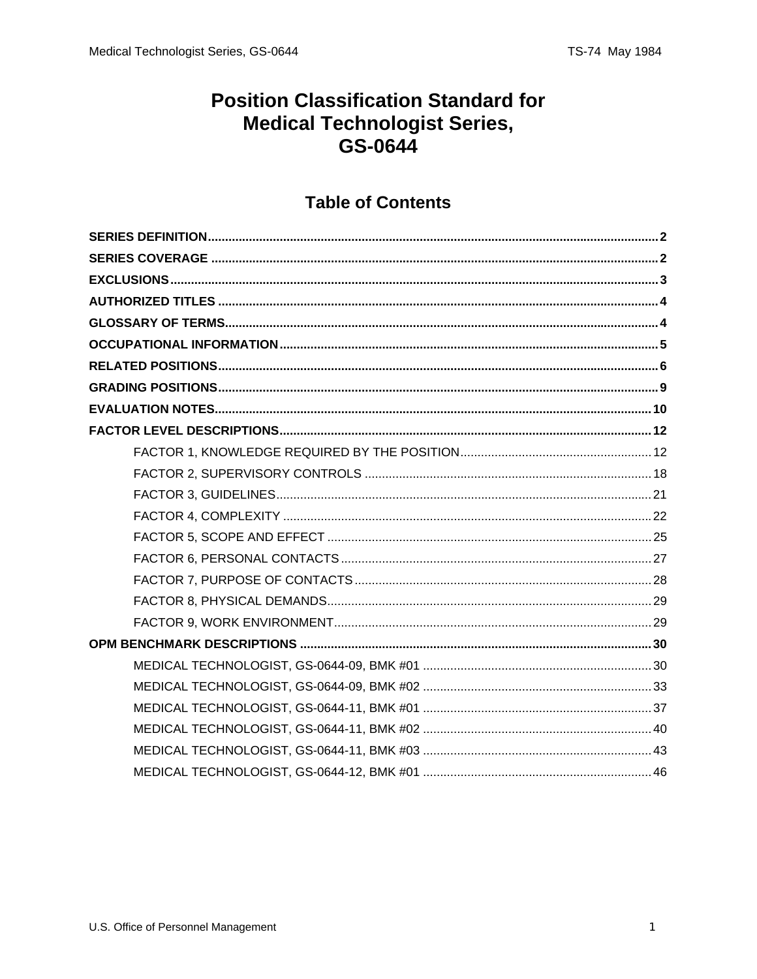## **Position Classification Standard for Medical Technologist Series,** GS-0644

## **Table of Contents**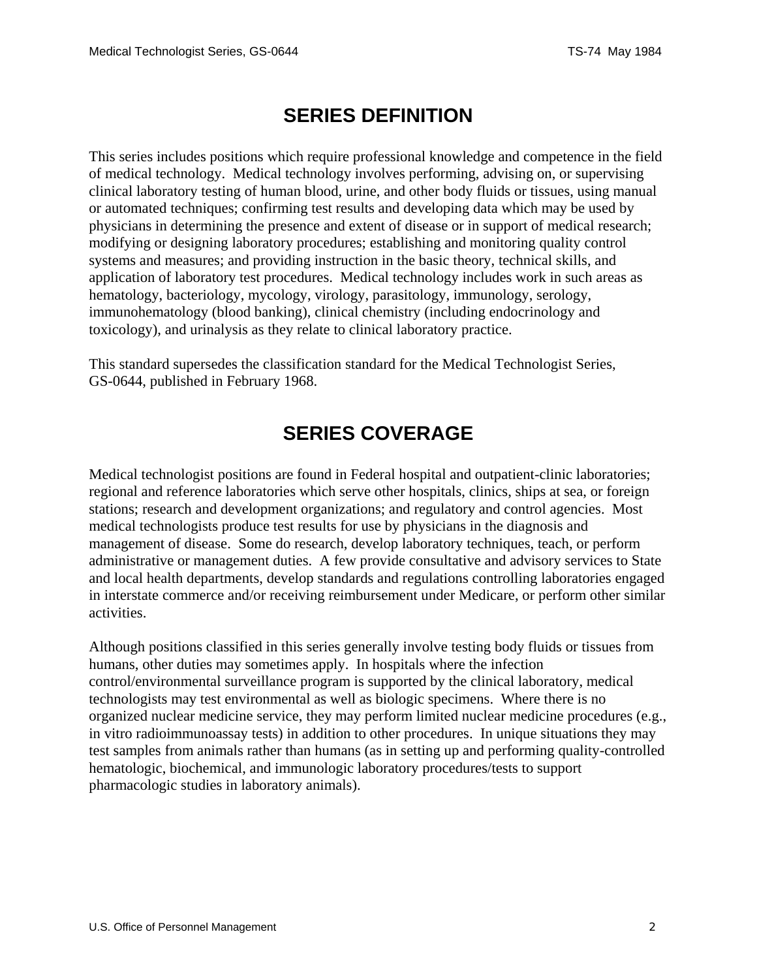# **SERIES DEFINITION**

<span id="page-1-0"></span>This series includes positions which require professional knowledge and competence in the field of medical technology. Medical technology involves performing, advising on, or supervising clinical laboratory testing of human blood, urine, and other body fluids or tissues, using manual or automated techniques; confirming test results and developing data which may be used by physicians in determining the presence and extent of disease or in support of medical research; modifying or designing laboratory procedures; establishing and monitoring quality control systems and measures; and providing instruction in the basic theory, technical skills, and application of laboratory test procedures. Medical technology includes work in such areas as hematology, bacteriology, mycology, virology, parasitology, immunology, serology, immunohematology (blood banking), clinical chemistry (including endocrinology and toxicology), and urinalysis as they relate to clinical laboratory practice.

This standard supersedes the classification standard for the Medical Technologist Series, GS-0644, published in February 1968.

# **SERIES COVERAGE**

Medical technologist positions are found in Federal hospital and outpatient-clinic laboratories; regional and reference laboratories which serve other hospitals, clinics, ships at sea, or foreign stations; research and development organizations; and regulatory and control agencies. Most medical technologists produce test results for use by physicians in the diagnosis and management of disease. Some do research, develop laboratory techniques, teach, or perform administrative or management duties. A few provide consultative and advisory services to State and local health departments, develop standards and regulations controlling laboratories engaged in interstate commerce and/or receiving reimbursement under Medicare, or perform other similar activities.

Although positions classified in this series generally involve testing body fluids or tissues from humans, other duties may sometimes apply. In hospitals where the infection control/environmental surveillance program is supported by the clinical laboratory, medical technologists may test environmental as well as biologic specimens. Where there is no organized nuclear medicine service, they may perform limited nuclear medicine procedures (e.g., in vitro radioimmunoassay tests) in addition to other procedures. In unique situations they may test samples from animals rather than humans (as in setting up and performing quality-controlled hematologic, biochemical, and immunologic laboratory procedures/tests to support pharmacologic studies in laboratory animals).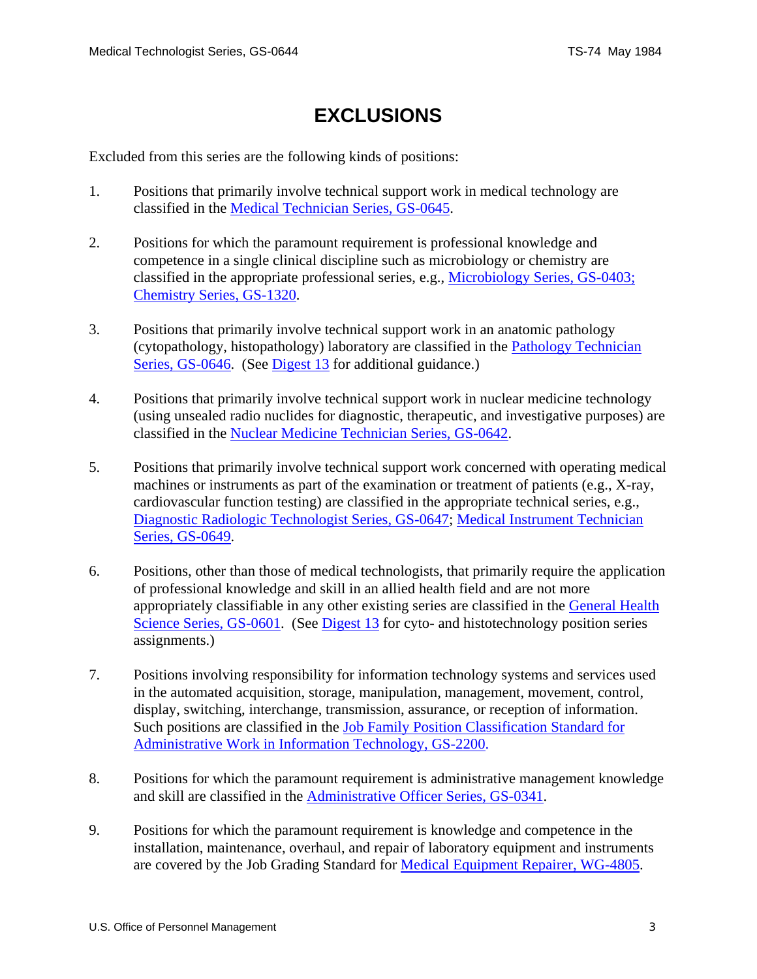# **EXCLUSIONS**

<span id="page-2-0"></span>Excluded from this series are the following kinds of positions:

- 1. Positions that primarily involve technical support work in medical technology are classified in the Medical Technician Series, GS-0645.
- 2. Positions for which the paramount requirement is professional knowledge and competence in a single clinical discipline such as microbiology or chemistry are classified in the appropriate professional series, e.g., Microbiology Series, GS-0403; Chemistry Series, GS-1320.
- 3. Positions that primarily involve technical support work in an anatomic pathology (cytopathology, histopathology) laboratory are classified in the Pathology Technician Series, GS-0646. (See [Digest 13](http://www.opm.gov/classapp/digests/digest13.pdf) for additional guidance.)
- 4. Positions that primarily involve technical support work in nuclear medicine technology (using unsealed radio nuclides for diagnostic, therapeutic, and investigative purposes) are classified in the Nuclear Medicine Technician Series, GS-0642.
- 5. Positions that primarily involve technical support work concerned with operating medical machines or instruments as part of the examination or treatment of patients (e.g., X-ray, cardiovascular function testing) are classified in the appropriate technical series, e.g., Diagnostic Radiologic Technologist Series, GS-0647; Medical Instrument Technician Series, GS-0649.
- 6. Positions, other than those of medical technologists, that primarily require the application of professional knowledge and skill in an allied health field and are not more appropriately classifiable in any other existing series are classified in the General Health Science Series, GS-0601. (See [Digest 13](http://www.opm.gov/classapp/digests/digest13.pdf) for cyto- and histotechnology position series assignments.)
- 7. Positions involving responsibility for information technology systems and services used in the automated acquisition, storage, manipulation, management, movement, control, display, switching, interchange, transmission, assurance, or reception of information. Such positions are classified in the Job Family Position Classification Standard for Administrative Work in Information Technology, GS-2200.
- 8. Positions for which the paramount requirement is administrative management knowledge and skill are classified in the Administrative Officer Series, GS-0341.
- 9. Positions for which the paramount requirement is knowledge and competence in the installation, maintenance, overhaul, and repair of laboratory equipment and instruments are covered by the Job Grading Standard for Medical Equipment Repairer, WG-4805.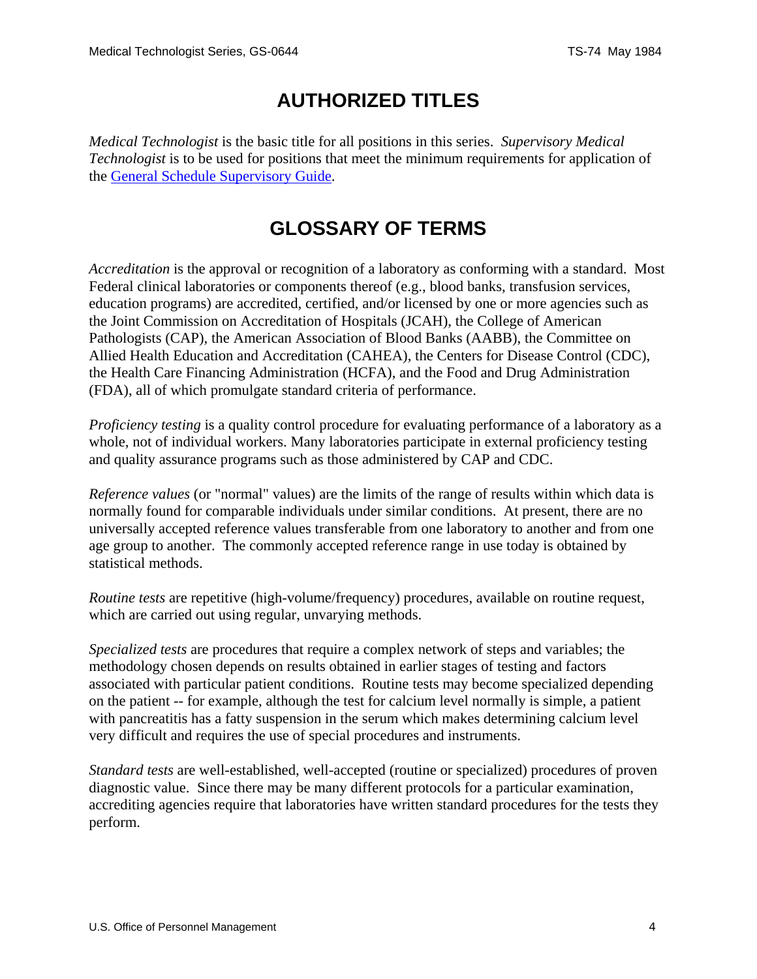# **AUTHORIZED TITLES**

<span id="page-3-0"></span>*Medical Technologist* is the basic title for all positions in this series. *Supervisory Medical Technologist* is to be used for positions that meet the minimum requirements for application of the General Schedule Supervisory Guide.

# **GLOSSARY OF TERMS**

*Accreditation* is the approval or recognition of a laboratory as conforming with a standard. Most Federal clinical laboratories or components thereof (e.g., blood banks, transfusion services, education programs) are accredited, certified, and/or licensed by one or more agencies such as the Joint Commission on Accreditation of Hospitals (JCAH), the College of American Pathologists (CAP), the American Association of Blood Banks (AABB), the Committee on Allied Health Education and Accreditation (CAHEA), the Centers for Disease Control (CDC), the Health Care Financing Administration (HCFA), and the Food and Drug Administration (FDA), all of which promulgate standard criteria of performance.

*Proficiency testing* is a quality control procedure for evaluating performance of a laboratory as a whole, not of individual workers. Many laboratories participate in external proficiency testing and quality assurance programs such as those administered by CAP and CDC.

*Reference values* (or "normal" values) are the limits of the range of results within which data is normally found for comparable individuals under similar conditions. At present, there are no universally accepted reference values transferable from one laboratory to another and from one age group to another. The commonly accepted reference range in use today is obtained by statistical methods.

*Routine tests* are repetitive (high-volume/frequency) procedures, available on routine request, which are carried out using regular, unvarying methods.

*Specialized tests* are procedures that require a complex network of steps and variables; the methodology chosen depends on results obtained in earlier stages of testing and factors associated with particular patient conditions. Routine tests may become specialized depending on the patient -- for example, although the test for calcium level normally is simple, a patient with pancreatitis has a fatty suspension in the serum which makes determining calcium level very difficult and requires the use of special procedures and instruments.

*Standard tests* are well-established, well-accepted (routine or specialized) procedures of proven diagnostic value. Since there may be many different protocols for a particular examination, accrediting agencies require that laboratories have written standard procedures for the tests they perform.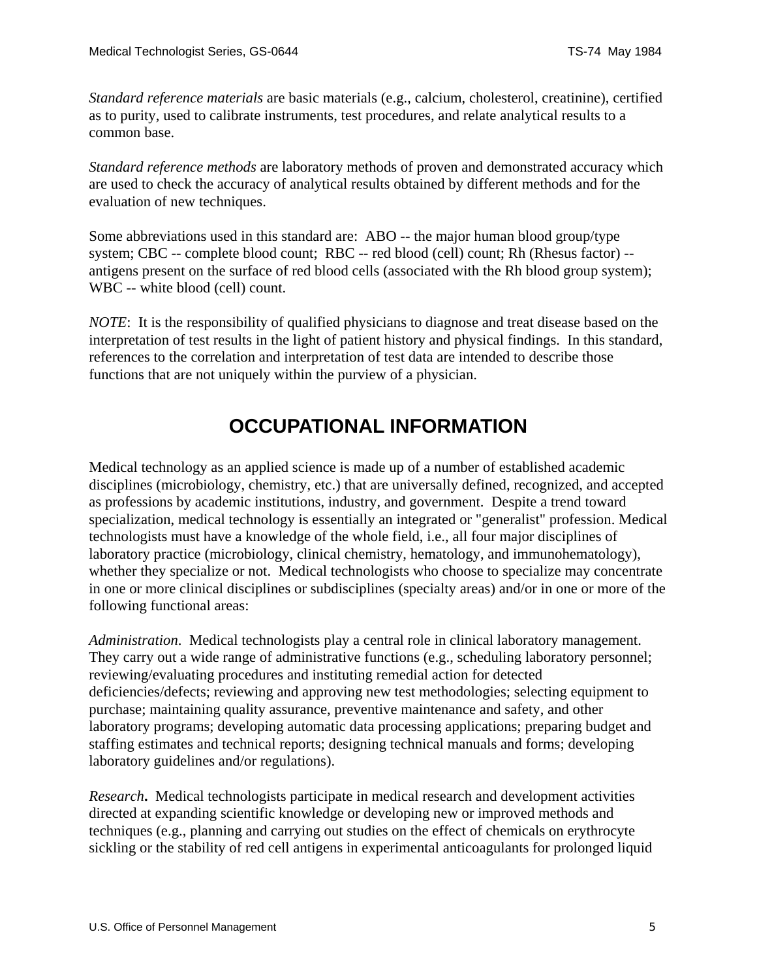<span id="page-4-0"></span>*Standard reference materials* are basic materials (e.g., calcium, cholesterol, creatinine), certified as to purity, used to calibrate instruments, test procedures, and relate analytical results to a common base.

*Standard reference methods* are laboratory methods of proven and demonstrated accuracy which are used to check the accuracy of analytical results obtained by different methods and for the evaluation of new techniques.

Some abbreviations used in this standard are: ABO -- the major human blood group/type system; CBC -- complete blood count; RBC -- red blood (cell) count; Rh (Rhesus factor) - antigens present on the surface of red blood cells (associated with the Rh blood group system); WBC -- white blood (cell) count.

*NOTE*: It is the responsibility of qualified physicians to diagnose and treat disease based on the interpretation of test results in the light of patient history and physical findings. In this standard, references to the correlation and interpretation of test data are intended to describe those functions that are not uniquely within the purview of a physician.

# **OCCUPATIONAL INFORMATION**

Medical technology as an applied science is made up of a number of established academic disciplines (microbiology, chemistry, etc.) that are universally defined, recognized, and accepted as professions by academic institutions, industry, and government. Despite a trend toward specialization, medical technology is essentially an integrated or "generalist" profession. Medical technologists must have a knowledge of the whole field, i.e., all four major disciplines of laboratory practice (microbiology, clinical chemistry, hematology, and immunohematology), whether they specialize or not. Medical technologists who choose to specialize may concentrate in one or more clinical disciplines or subdisciplines (specialty areas) and/or in one or more of the following functional areas:

*Administration*. Medical technologists play a central role in clinical laboratory management. They carry out a wide range of administrative functions (e.g., scheduling laboratory personnel; reviewing/evaluating procedures and instituting remedial action for detected deficiencies/defects; reviewing and approving new test methodologies; selecting equipment to purchase; maintaining quality assurance, preventive maintenance and safety, and other laboratory programs; developing automatic data processing applications; preparing budget and staffing estimates and technical reports; designing technical manuals and forms; developing laboratory guidelines and/or regulations).

*Research***.** Medical technologists participate in medical research and development activities directed at expanding scientific knowledge or developing new or improved methods and techniques (e.g., planning and carrying out studies on the effect of chemicals on erythrocyte sickling or the stability of red cell antigens in experimental anticoagulants for prolonged liquid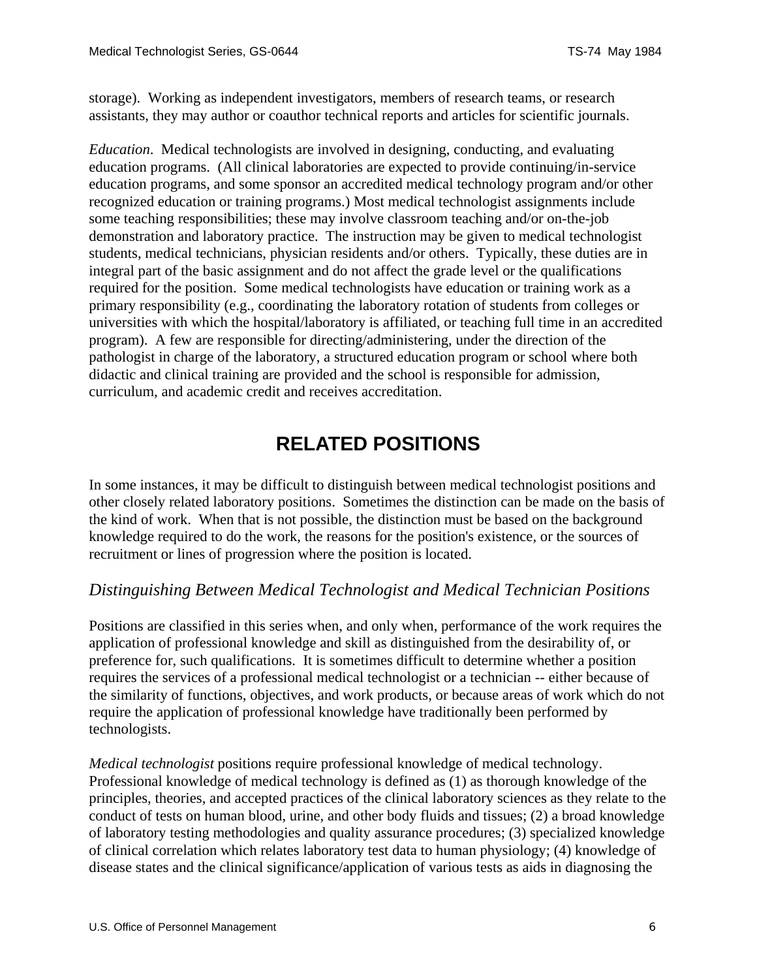<span id="page-5-0"></span>storage). Working as independent investigators, members of research teams, or research assistants, they may author or coauthor technical reports and articles for scientific journals.

*Education*. Medical technologists are involved in designing, conducting, and evaluating education programs. (All clinical laboratories are expected to provide continuing/in-service education programs, and some sponsor an accredited medical technology program and/or other recognized education or training programs.) Most medical technologist assignments include some teaching responsibilities; these may involve classroom teaching and/or on-the-job demonstration and laboratory practice. The instruction may be given to medical technologist students, medical technicians, physician residents and/or others. Typically, these duties are in integral part of the basic assignment and do not affect the grade level or the qualifications required for the position. Some medical technologists have education or training work as a primary responsibility (e.g., coordinating the laboratory rotation of students from colleges or universities with which the hospital/laboratory is affiliated, or teaching full time in an accredited program). A few are responsible for directing/administering, under the direction of the pathologist in charge of the laboratory, a structured education program or school where both didactic and clinical training are provided and the school is responsible for admission, curriculum, and academic credit and receives accreditation.

# **RELATED POSITIONS**

In some instances, it may be difficult to distinguish between medical technologist positions and other closely related laboratory positions. Sometimes the distinction can be made on the basis of the kind of work. When that is not possible, the distinction must be based on the background knowledge required to do the work, the reasons for the position's existence, or the sources of recruitment or lines of progression where the position is located.

## *Distinguishing Between Medical Technologist and Medical Technician Positions*

Positions are classified in this series when, and only when, performance of the work requires the application of professional knowledge and skill as distinguished from the desirability of, or preference for, such qualifications. It is sometimes difficult to determine whether a position requires the services of a professional medical technologist or a technician -- either because of the similarity of functions, objectives, and work products, or because areas of work which do not require the application of professional knowledge have traditionally been performed by technologists.

*Medical technologist* positions require professional knowledge of medical technology. Professional knowledge of medical technology is defined as (1) as thorough knowledge of the principles, theories, and accepted practices of the clinical laboratory sciences as they relate to the conduct of tests on human blood, urine, and other body fluids and tissues; (2) a broad knowledge of laboratory testing methodologies and quality assurance procedures; (3) specialized knowledge of clinical correlation which relates laboratory test data to human physiology; (4) knowledge of disease states and the clinical significance/application of various tests as aids in diagnosing the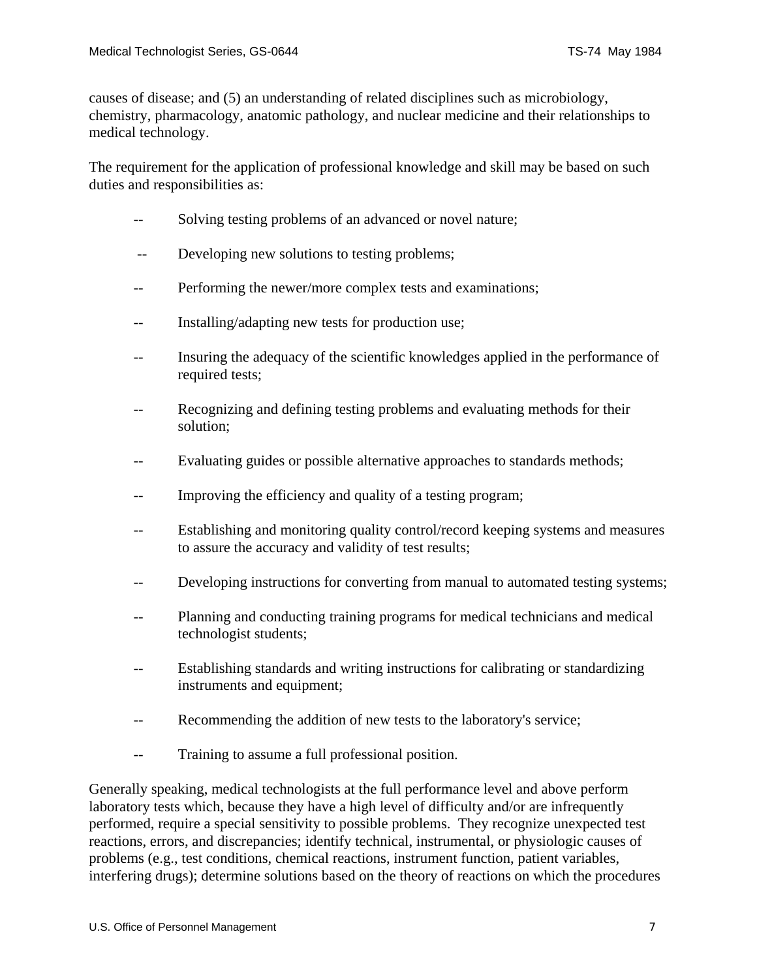causes of disease; and (5) an understanding of related disciplines such as microbiology, chemistry, pharmacology, anatomic pathology, and nuclear medicine and their relationships to medical technology.

The requirement for the application of professional knowledge and skill may be based on such duties and responsibilities as:

- -- Solving testing problems of an advanced or novel nature;
- -- Developing new solutions to testing problems;
- -- Performing the newer/more complex tests and examinations;
- -- Installing/adapting new tests for production use;
- -- Insuring the adequacy of the scientific knowledges applied in the performance of required tests;
- -- Recognizing and defining testing problems and evaluating methods for their solution;
- -- Evaluating guides or possible alternative approaches to standards methods;
- Improving the efficiency and quality of a testing program;
- -- Establishing and monitoring quality control/record keeping systems and measures to assure the accuracy and validity of test results;
- -- Developing instructions for converting from manual to automated testing systems;
- -- Planning and conducting training programs for medical technicians and medical technologist students;
- -- Establishing standards and writing instructions for calibrating or standardizing instruments and equipment;
- -- Recommending the addition of new tests to the laboratory's service;
- -- Training to assume a full professional position.

Generally speaking, medical technologists at the full performance level and above perform laboratory tests which, because they have a high level of difficulty and/or are infrequently performed, require a special sensitivity to possible problems. They recognize unexpected test reactions, errors, and discrepancies; identify technical, instrumental, or physiologic causes of problems (e.g., test conditions, chemical reactions, instrument function, patient variables, interfering drugs); determine solutions based on the theory of reactions on which the procedures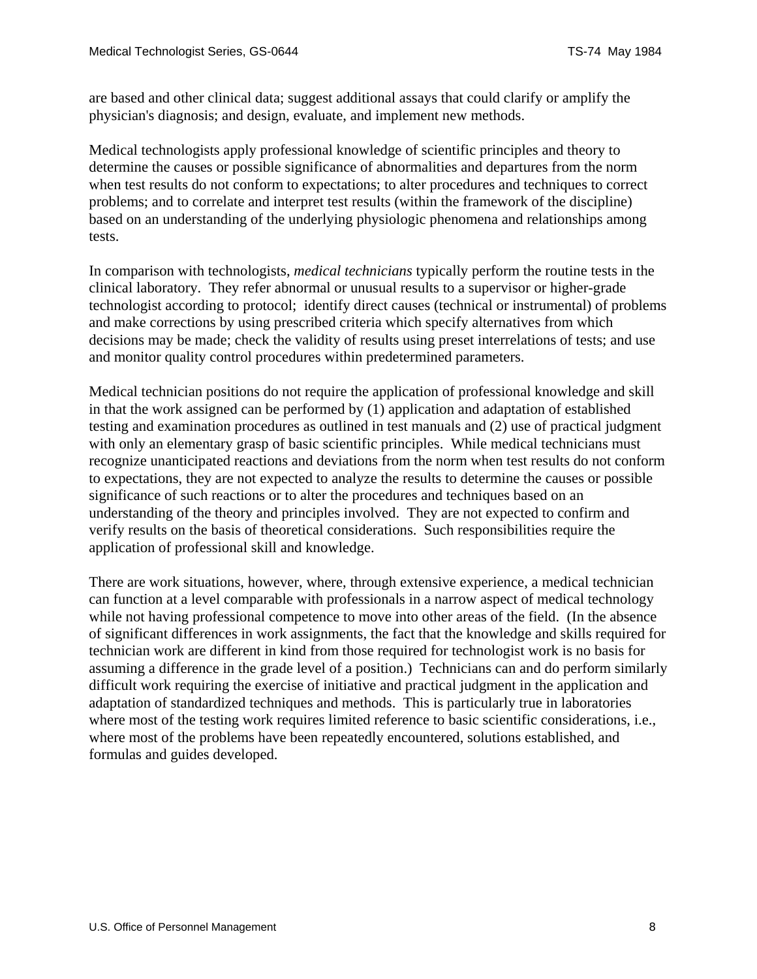are based and other clinical data; suggest additional assays that could clarify or amplify the physician's diagnosis; and design, evaluate, and implement new methods.

Medical technologists apply professional knowledge of scientific principles and theory to determine the causes or possible significance of abnormalities and departures from the norm when test results do not conform to expectations; to alter procedures and techniques to correct problems; and to correlate and interpret test results (within the framework of the discipline) based on an understanding of the underlying physiologic phenomena and relationships among tests.

In comparison with technologists, *medical technicians* typically perform the routine tests in the clinical laboratory. They refer abnormal or unusual results to a supervisor or higher-grade technologist according to protocol; identify direct causes (technical or instrumental) of problems and make corrections by using prescribed criteria which specify alternatives from which decisions may be made; check the validity of results using preset interrelations of tests; and use and monitor quality control procedures within predetermined parameters.

Medical technician positions do not require the application of professional knowledge and skill in that the work assigned can be performed by (1) application and adaptation of established testing and examination procedures as outlined in test manuals and (2) use of practical judgment with only an elementary grasp of basic scientific principles. While medical technicians must recognize unanticipated reactions and deviations from the norm when test results do not conform to expectations, they are not expected to analyze the results to determine the causes or possible significance of such reactions or to alter the procedures and techniques based on an understanding of the theory and principles involved. They are not expected to confirm and verify results on the basis of theoretical considerations. Such responsibilities require the application of professional skill and knowledge.

There are work situations, however, where, through extensive experience, a medical technician can function at a level comparable with professionals in a narrow aspect of medical technology while not having professional competence to move into other areas of the field. (In the absence of significant differences in work assignments, the fact that the knowledge and skills required for technician work are different in kind from those required for technologist work is no basis for assuming a difference in the grade level of a position.) Technicians can and do perform similarly difficult work requiring the exercise of initiative and practical judgment in the application and adaptation of standardized techniques and methods. This is particularly true in laboratories where most of the testing work requires limited reference to basic scientific considerations, i.e., where most of the problems have been repeatedly encountered, solutions established, and formulas and guides developed.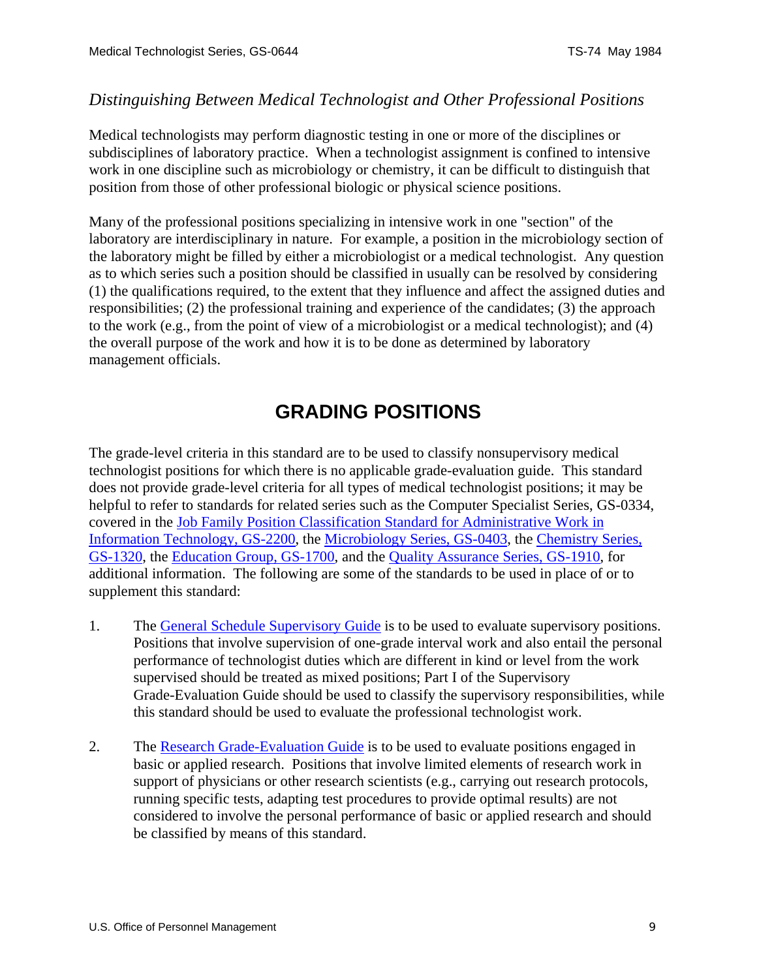## <span id="page-8-0"></span>*Distinguishing Between Medical Technologist and Other Professional Positions*

Medical technologists may perform diagnostic testing in one or more of the disciplines or subdisciplines of laboratory practice. When a technologist assignment is confined to intensive work in one discipline such as microbiology or chemistry, it can be difficult to distinguish that position from those of other professional biologic or physical science positions.

Many of the professional positions specializing in intensive work in one "section" of the laboratory are interdisciplinary in nature. For example, a position in the microbiology section of the laboratory might be filled by either a microbiologist or a medical technologist. Any question as to which series such a position should be classified in usually can be resolved by considering (1) the qualifications required, to the extent that they influence and affect the assigned duties and responsibilities; (2) the professional training and experience of the candidates; (3) the approach to the work (e.g., from the point of view of a microbiologist or a medical technologist); and (4) the overall purpose of the work and how it is to be done as determined by laboratory management officials.

# **GRADING POSITIONS**

The grade-level criteria in this standard are to be used to classify nonsupervisory medical technologist positions for which there is no applicable grade-evaluation guide. This standard does not provide grade-level criteria for all types of medical technologist positions; it may be helpful to refer to standards for related series such as the Computer Specialist Series, GS-0334, covered in the Job Family Position Classification Standard for Administrative Work in Information Technology, GS-2200, the Microbiology Series, GS-0403, the Chemistry Series, GS-1320, the Education Group, GS-1700, and the Quality Assurance Series, GS-1910, for additional information. The following are some of the standards to be used in place of or to supplement this standard:

- 1. The General Schedule Supervisory Guide is to be used to evaluate supervisory positions. Positions that involve supervision of one-grade interval work and also entail the personal performance of technologist duties which are different in kind or level from the work supervised should be treated as mixed positions; Part I of the Supervisory Grade-Evaluation Guide should be used to classify the supervisory responsibilities, while this standard should be used to evaluate the professional technologist work.
- 2. The Research Grade-Evaluation Guide is to be used to evaluate positions engaged in basic or applied research. Positions that involve limited elements of research work in support of physicians or other research scientists (e.g., carrying out research protocols, running specific tests, adapting test procedures to provide optimal results) are not considered to involve the personal performance of basic or applied research and should be classified by means of this standard.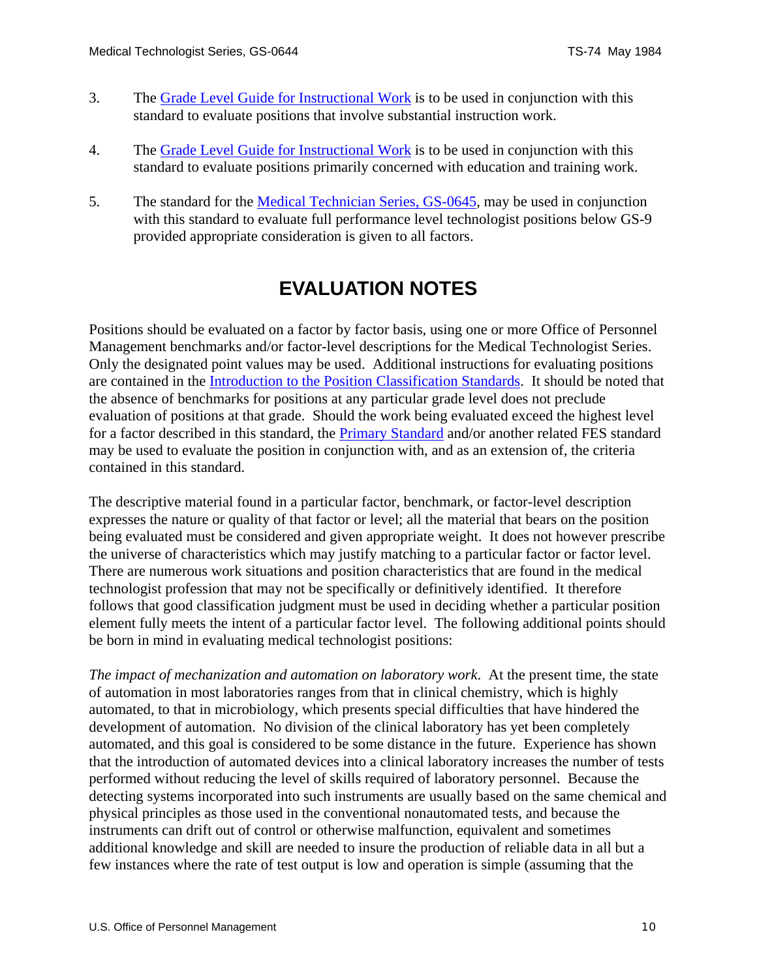- <span id="page-9-0"></span>3. The Grade Level Guide for Instructional Work is to be used in conjunction with this standard to evaluate positions that involve substantial instruction work.
- 4. The Grade Level Guide for Instructional Work is to be used in conjunction with this standard to evaluate positions primarily concerned with education and training work.
- 5. The standard for the Medical Technician Series, GS-0645, may be used in conjunction with this standard to evaluate full performance level technologist positions below GS-9 provided appropriate consideration is given to all factors.

## **EVALUATION NOTES**

Positions should be evaluated on a factor by factor basis, using one or more Office of Personnel Management benchmarks and/or factor-level descriptions for the Medical Technologist Series. Only the designated point values may be used. Additional instructions for evaluating positions are contained in the Introduction to the Position Classification Standards. It should be noted that the absence of benchmarks for positions at any particular grade level does not preclude evaluation of positions at that grade. Should the work being evaluated exceed the highest level for a factor described in this standard, the Primary Standard and/or another related FES standard may be used to evaluate the position in conjunction with, and as an extension of, the criteria contained in this standard.

The descriptive material found in a particular factor, benchmark, or factor-level description expresses the nature or quality of that factor or level; all the material that bears on the position being evaluated must be considered and given appropriate weight. It does not however prescribe the universe of characteristics which may justify matching to a particular factor or factor level. There are numerous work situations and position characteristics that are found in the medical technologist profession that may not be specifically or definitively identified. It therefore follows that good classification judgment must be used in deciding whether a particular position element fully meets the intent of a particular factor level. The following additional points should be born in mind in evaluating medical technologist positions:

*The impact of mechanization and automation on laboratory work*. At the present time, the state of automation in most laboratories ranges from that in clinical chemistry, which is highly automated, to that in microbiology, which presents special difficulties that have hindered the development of automation. No division of the clinical laboratory has yet been completely automated, and this goal is considered to be some distance in the future. Experience has shown that the introduction of automated devices into a clinical laboratory increases the number of tests performed without reducing the level of skills required of laboratory personnel. Because the detecting systems incorporated into such instruments are usually based on the same chemical and physical principles as those used in the conventional nonautomated tests, and because the instruments can drift out of control or otherwise malfunction, equivalent and sometimes additional knowledge and skill are needed to insure the production of reliable data in all but a few instances where the rate of test output is low and operation is simple (assuming that the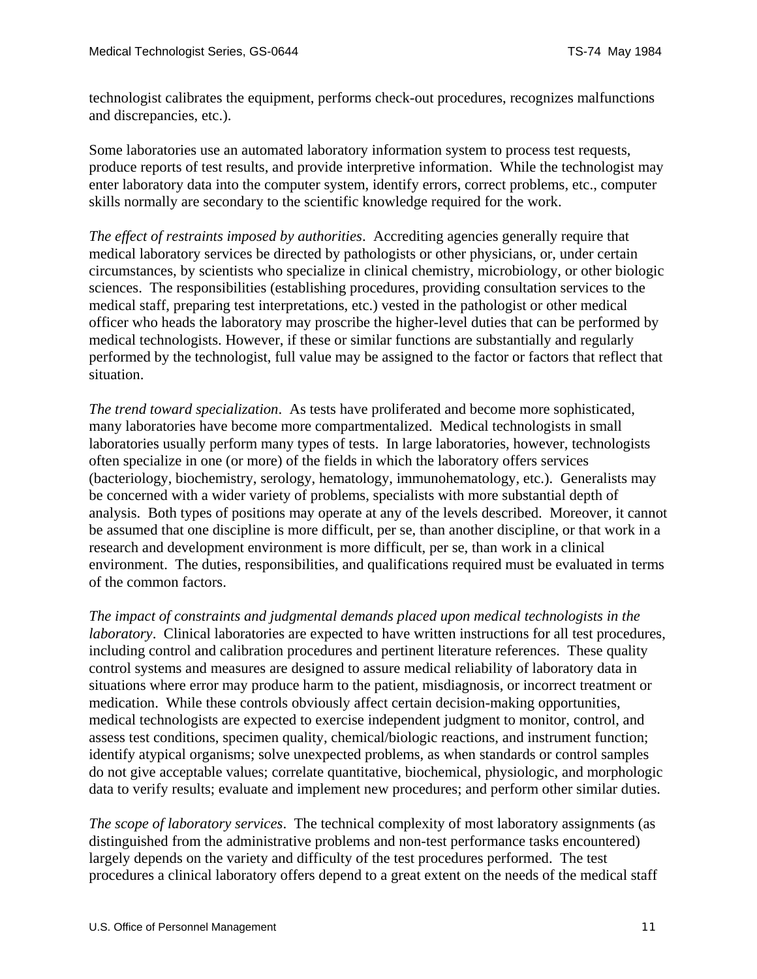technologist calibrates the equipment, performs check-out procedures, recognizes malfunctions and discrepancies, etc.).

Some laboratories use an automated laboratory information system to process test requests, produce reports of test results, and provide interpretive information. While the technologist may enter laboratory data into the computer system, identify errors, correct problems, etc., computer skills normally are secondary to the scientific knowledge required for the work.

*The effect of restraints imposed by authorities*. Accrediting agencies generally require that medical laboratory services be directed by pathologists or other physicians, or, under certain circumstances, by scientists who specialize in clinical chemistry, microbiology, or other biologic sciences. The responsibilities (establishing procedures, providing consultation services to the medical staff, preparing test interpretations, etc.) vested in the pathologist or other medical officer who heads the laboratory may proscribe the higher-level duties that can be performed by medical technologists. However, if these or similar functions are substantially and regularly performed by the technologist, full value may be assigned to the factor or factors that reflect that situation.

*The trend toward specialization*. As tests have proliferated and become more sophisticated, many laboratories have become more compartmentalized. Medical technologists in small laboratories usually perform many types of tests. In large laboratories, however, technologists often specialize in one (or more) of the fields in which the laboratory offers services (bacteriology, biochemistry, serology, hematology, immunohematology, etc.). Generalists may be concerned with a wider variety of problems, specialists with more substantial depth of analysis. Both types of positions may operate at any of the levels described. Moreover, it cannot be assumed that one discipline is more difficult, per se, than another discipline, or that work in a research and development environment is more difficult, per se, than work in a clinical environment. The duties, responsibilities, and qualifications required must be evaluated in terms of the common factors.

*The impact of constraints and judgmental demands placed upon medical technologists in the laboratory*. Clinical laboratories are expected to have written instructions for all test procedures, including control and calibration procedures and pertinent literature references. These quality control systems and measures are designed to assure medical reliability of laboratory data in situations where error may produce harm to the patient, misdiagnosis, or incorrect treatment or medication. While these controls obviously affect certain decision-making opportunities, medical technologists are expected to exercise independent judgment to monitor, control, and assess test conditions, specimen quality, chemical/biologic reactions, and instrument function; identify atypical organisms; solve unexpected problems, as when standards or control samples do not give acceptable values; correlate quantitative, biochemical, physiologic, and morphologic data to verify results; evaluate and implement new procedures; and perform other similar duties.

*The scope of laboratory services*. The technical complexity of most laboratory assignments (as distinguished from the administrative problems and non-test performance tasks encountered) largely depends on the variety and difficulty of the test procedures performed. The test procedures a clinical laboratory offers depend to a great extent on the needs of the medical staff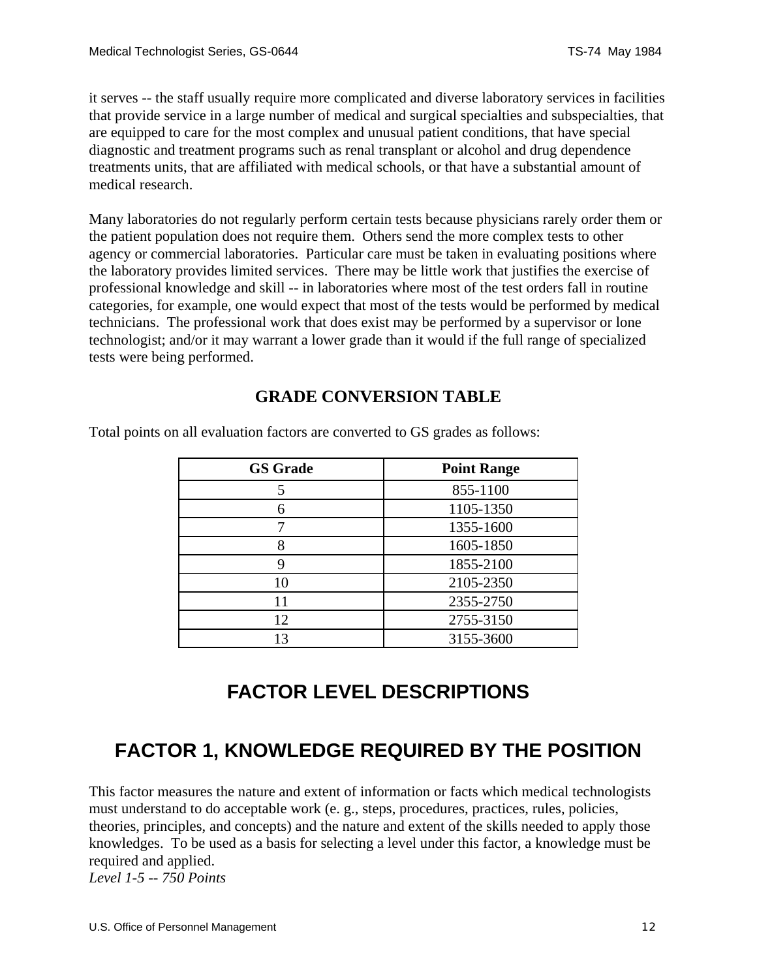<span id="page-11-0"></span>it serves -- the staff usually require more complicated and diverse laboratory services in facilities that provide service in a large number of medical and surgical specialties and subspecialties, that are equipped to care for the most complex and unusual patient conditions, that have special diagnostic and treatment programs such as renal transplant or alcohol and drug dependence treatments units, that are affiliated with medical schools, or that have a substantial amount of medical research.

Many laboratories do not regularly perform certain tests because physicians rarely order them or the patient population does not require them. Others send the more complex tests to other agency or commercial laboratories. Particular care must be taken in evaluating positions where the laboratory provides limited services. There may be little work that justifies the exercise of professional knowledge and skill -- in laboratories where most of the test orders fall in routine categories, for example, one would expect that most of the tests would be performed by medical technicians. The professional work that does exist may be performed by a supervisor or lone technologist; and/or it may warrant a lower grade than it would if the full range of specialized tests were being performed.

## **GRADE CONVERSION TABLE**

| <b>GS</b> Grade | <b>Point Range</b> |
|-----------------|--------------------|
|                 | 855-1100           |
|                 | 1105-1350          |
|                 | 1355-1600          |
|                 | 1605-1850          |
|                 | 1855-2100          |
| 10              | 2105-2350          |
| 11              | 2355-2750          |
| 12              | 2755-3150          |
| 13              | 3155-3600          |

Total points on all evaluation factors are converted to GS grades as follows:

# **FACTOR LEVEL DESCRIPTIONS**

# **FACTOR 1, KNOWLEDGE REQUIRED BY THE POSITION**

This factor measures the nature and extent of information or facts which medical technologists must understand to do acceptable work (e. g., steps, procedures, practices, rules, policies, theories, principles, and concepts) and the nature and extent of the skills needed to apply those knowledges. To be used as a basis for selecting a level under this factor, a knowledge must be required and applied.

*Level 1-5 -- 750 Points*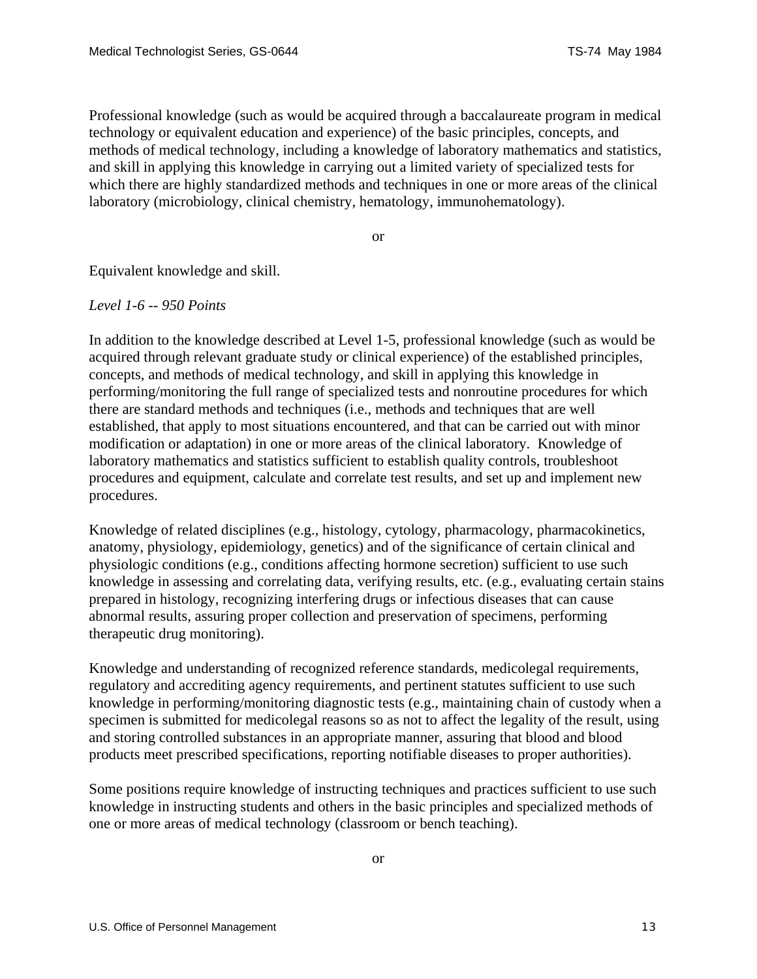Professional knowledge (such as would be acquired through a baccalaureate program in medical technology or equivalent education and experience) of the basic principles, concepts, and methods of medical technology, including a knowledge of laboratory mathematics and statistics, and skill in applying this knowledge in carrying out a limited variety of specialized tests for which there are highly standardized methods and techniques in one or more areas of the clinical laboratory (microbiology, clinical chemistry, hematology, immunohematology).

or

Equivalent knowledge and skill.

*Level 1-6 -- 950 Points* 

In addition to the knowledge described at Level 1-5, professional knowledge (such as would be acquired through relevant graduate study or clinical experience) of the established principles, concepts, and methods of medical technology, and skill in applying this knowledge in performing/monitoring the full range of specialized tests and nonroutine procedures for which there are standard methods and techniques (i.e., methods and techniques that are well established, that apply to most situations encountered, and that can be carried out with minor modification or adaptation) in one or more areas of the clinical laboratory. Knowledge of laboratory mathematics and statistics sufficient to establish quality controls, troubleshoot procedures and equipment, calculate and correlate test results, and set up and implement new procedures.

Knowledge of related disciplines (e.g., histology, cytology, pharmacology, pharmacokinetics, anatomy, physiology, epidemiology, genetics) and of the significance of certain clinical and physiologic conditions (e.g., conditions affecting hormone secretion) sufficient to use such knowledge in assessing and correlating data, verifying results, etc. (e.g., evaluating certain stains prepared in histology, recognizing interfering drugs or infectious diseases that can cause abnormal results, assuring proper collection and preservation of specimens, performing therapeutic drug monitoring).

Knowledge and understanding of recognized reference standards, medicolegal requirements, regulatory and accrediting agency requirements, and pertinent statutes sufficient to use such knowledge in performing/monitoring diagnostic tests (e.g., maintaining chain of custody when a specimen is submitted for medicolegal reasons so as not to affect the legality of the result, using and storing controlled substances in an appropriate manner, assuring that blood and blood products meet prescribed specifications, reporting notifiable diseases to proper authorities).

Some positions require knowledge of instructing techniques and practices sufficient to use such knowledge in instructing students and others in the basic principles and specialized methods of one or more areas of medical technology (classroom or bench teaching).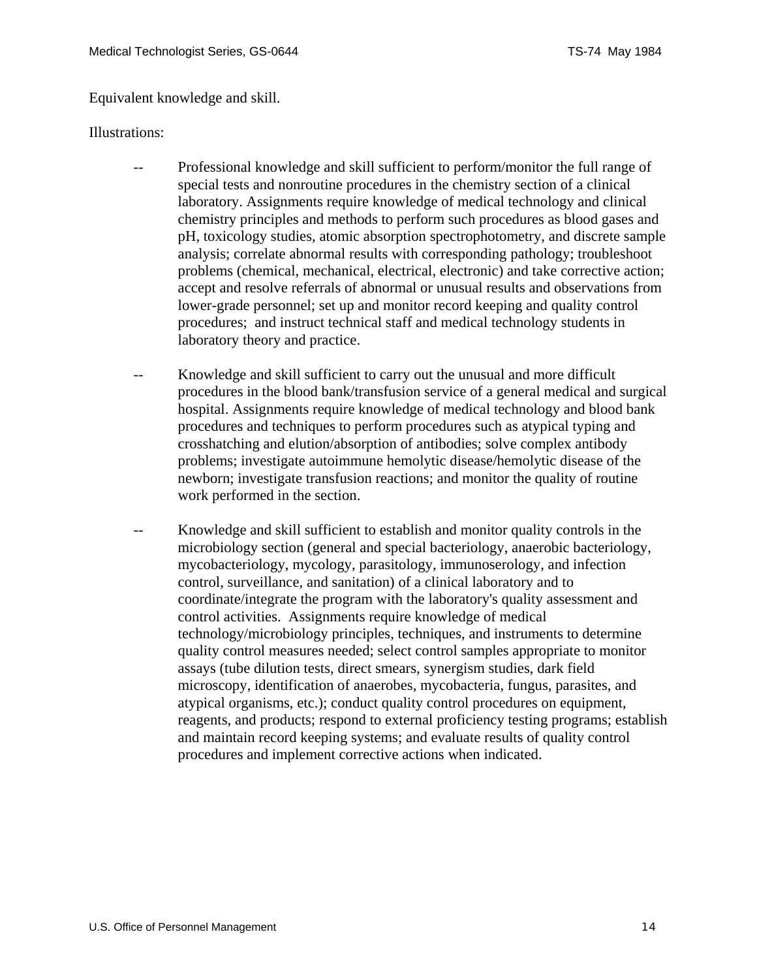Equivalent knowledge and skill.

#### Illustrations:

- -- Professional knowledge and skill sufficient to perform/monitor the full range of special tests and nonroutine procedures in the chemistry section of a clinical laboratory. Assignments require knowledge of medical technology and clinical chemistry principles and methods to perform such procedures as blood gases and pH, toxicology studies, atomic absorption spectrophotometry, and discrete sample analysis; correlate abnormal results with corresponding pathology; troubleshoot problems (chemical, mechanical, electrical, electronic) and take corrective action; accept and resolve referrals of abnormal or unusual results and observations from lower-grade personnel; set up and monitor record keeping and quality control procedures; and instruct technical staff and medical technology students in laboratory theory and practice.
- Knowledge and skill sufficient to carry out the unusual and more difficult procedures in the blood bank/transfusion service of a general medical and surgical hospital. Assignments require knowledge of medical technology and blood bank procedures and techniques to perform procedures such as atypical typing and crosshatching and elution/absorption of antibodies; solve complex antibody problems; investigate autoimmune hemolytic disease/hemolytic disease of the newborn; investigate transfusion reactions; and monitor the quality of routine work performed in the section.
- Knowledge and skill sufficient to establish and monitor quality controls in the microbiology section (general and special bacteriology, anaerobic bacteriology, mycobacteriology, mycology, parasitology, immunoserology, and infection control, surveillance, and sanitation) of a clinical laboratory and to coordinate/integrate the program with the laboratory's quality assessment and control activities. Assignments require knowledge of medical technology/microbiology principles, techniques, and instruments to determine quality control measures needed; select control samples appropriate to monitor assays (tube dilution tests, direct smears, synergism studies, dark field microscopy, identification of anaerobes, mycobacteria, fungus, parasites, and atypical organisms, etc.); conduct quality control procedures on equipment, reagents, and products; respond to external proficiency testing programs; establish and maintain record keeping systems; and evaluate results of quality control procedures and implement corrective actions when indicated.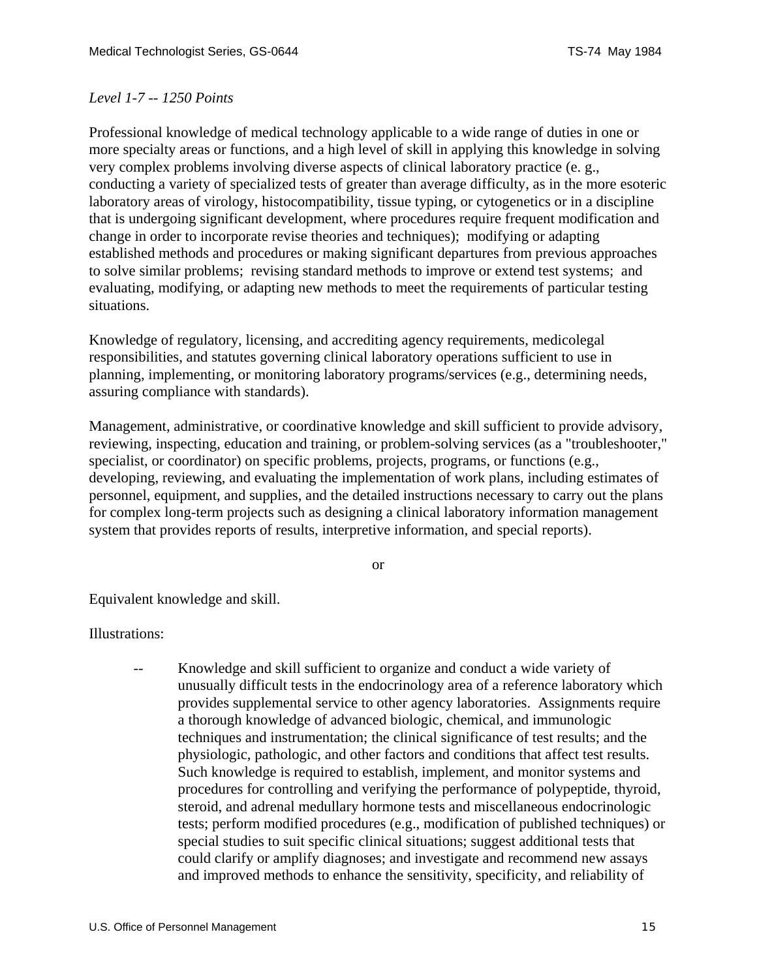#### *Level 1-7 -- 1250 Points*

Professional knowledge of medical technology applicable to a wide range of duties in one or more specialty areas or functions, and a high level of skill in applying this knowledge in solving very complex problems involving diverse aspects of clinical laboratory practice (e. g., conducting a variety of specialized tests of greater than average difficulty, as in the more esoteric laboratory areas of virology, histocompatibility, tissue typing, or cytogenetics or in a discipline that is undergoing significant development, where procedures require frequent modification and change in order to incorporate revise theories and techniques); modifying or adapting established methods and procedures or making significant departures from previous approaches to solve similar problems; revising standard methods to improve or extend test systems; and evaluating, modifying, or adapting new methods to meet the requirements of particular testing situations.

Knowledge of regulatory, licensing, and accrediting agency requirements, medicolegal responsibilities, and statutes governing clinical laboratory operations sufficient to use in planning, implementing, or monitoring laboratory programs/services (e.g., determining needs, assuring compliance with standards).

Management, administrative, or coordinative knowledge and skill sufficient to provide advisory, reviewing, inspecting, education and training, or problem-solving services (as a "troubleshooter," specialist, or coordinator) on specific problems, projects, programs, or functions (e.g., developing, reviewing, and evaluating the implementation of work plans, including estimates of personnel, equipment, and supplies, and the detailed instructions necessary to carry out the plans for complex long-term projects such as designing a clinical laboratory information management system that provides reports of results, interpretive information, and special reports).

or

Equivalent knowledge and skill.

Illustrations:

-- Knowledge and skill sufficient to organize and conduct a wide variety of unusually difficult tests in the endocrinology area of a reference laboratory which provides supplemental service to other agency laboratories. Assignments require a thorough knowledge of advanced biologic, chemical, and immunologic techniques and instrumentation; the clinical significance of test results; and the physiologic, pathologic, and other factors and conditions that affect test results. Such knowledge is required to establish, implement, and monitor systems and procedures for controlling and verifying the performance of polypeptide, thyroid, steroid, and adrenal medullary hormone tests and miscellaneous endocrinologic tests; perform modified procedures (e.g., modification of published techniques) or special studies to suit specific clinical situations; suggest additional tests that could clarify or amplify diagnoses; and investigate and recommend new assays and improved methods to enhance the sensitivity, specificity, and reliability of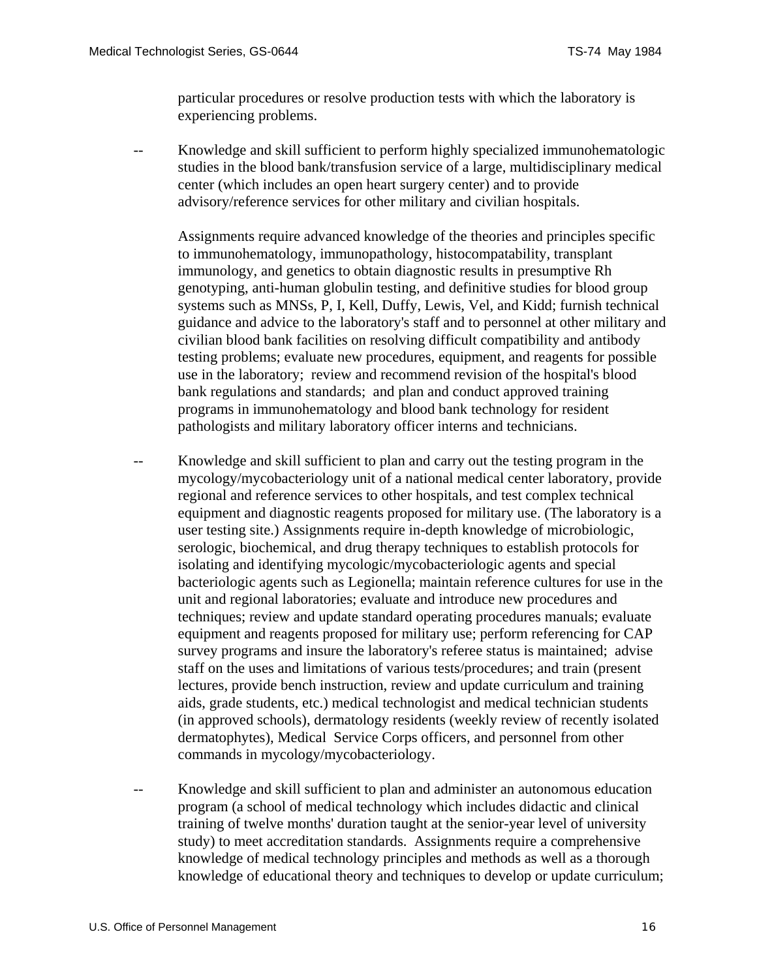particular procedures or resolve production tests with which the laboratory is experiencing problems.

Knowledge and skill sufficient to perform highly specialized immunohematologic studies in the blood bank/transfusion service of a large, multidisciplinary medical center (which includes an open heart surgery center) and to provide advisory/reference services for other military and civilian hospitals.

Assignments require advanced knowledge of the theories and principles specific to immunohematology, immunopathology, histocompatability, transplant immunology, and genetics to obtain diagnostic results in presumptive Rh genotyping, anti-human globulin testing, and definitive studies for blood group systems such as MNSs, P, I, Kell, Duffy, Lewis, Vel, and Kidd; furnish technical guidance and advice to the laboratory's staff and to personnel at other military and civilian blood bank facilities on resolving difficult compatibility and antibody testing problems; evaluate new procedures, equipment, and reagents for possible use in the laboratory; review and recommend revision of the hospital's blood bank regulations and standards; and plan and conduct approved training programs in immunohematology and blood bank technology for resident pathologists and military laboratory officer interns and technicians.

- Knowledge and skill sufficient to plan and carry out the testing program in the mycology/mycobacteriology unit of a national medical center laboratory, provide regional and reference services to other hospitals, and test complex technical equipment and diagnostic reagents proposed for military use. (The laboratory is a user testing site.) Assignments require in-depth knowledge of microbiologic, serologic, biochemical, and drug therapy techniques to establish protocols for isolating and identifying mycologic/mycobacteriologic agents and special bacteriologic agents such as Legionella; maintain reference cultures for use in the unit and regional laboratories; evaluate and introduce new procedures and techniques; review and update standard operating procedures manuals; evaluate equipment and reagents proposed for military use; perform referencing for CAP survey programs and insure the laboratory's referee status is maintained; advise staff on the uses and limitations of various tests/procedures; and train (present lectures, provide bench instruction, review and update curriculum and training aids, grade students, etc.) medical technologist and medical technician students (in approved schools), dermatology residents (weekly review of recently isolated dermatophytes), Medical Service Corps officers, and personnel from other commands in mycology/mycobacteriology.
- Knowledge and skill sufficient to plan and administer an autonomous education program (a school of medical technology which includes didactic and clinical training of twelve months' duration taught at the senior-year level of university study) to meet accreditation standards. Assignments require a comprehensive knowledge of medical technology principles and methods as well as a thorough knowledge of educational theory and techniques to develop or update curriculum;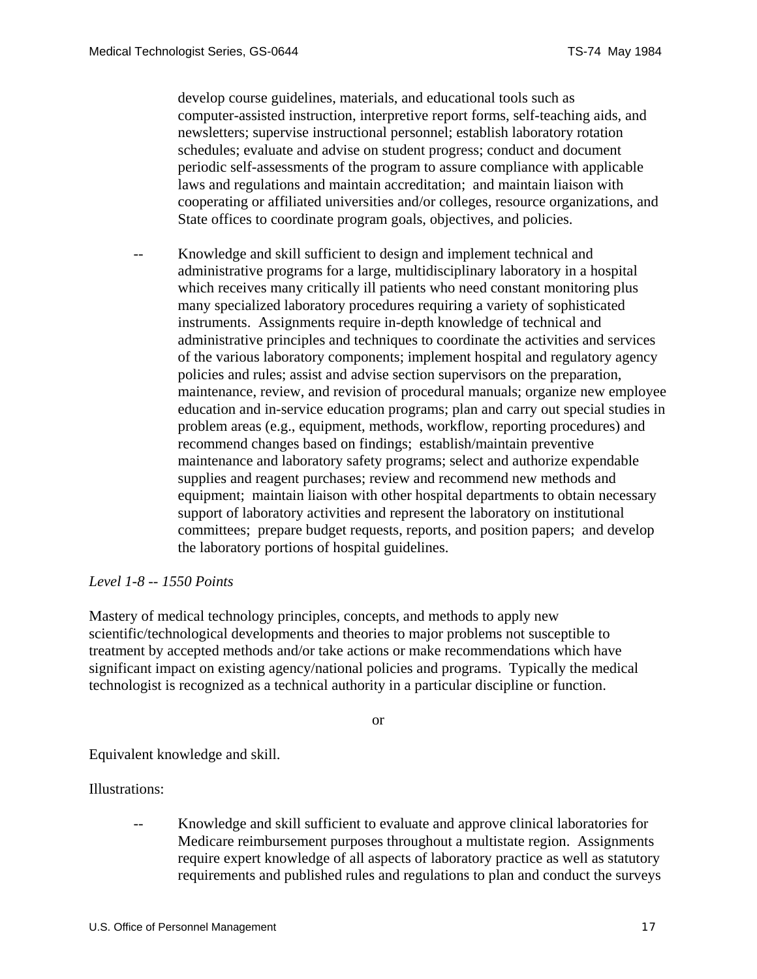develop course guidelines, materials, and educational tools such as computer-assisted instruction, interpretive report forms, self-teaching aids, and newsletters; supervise instructional personnel; establish laboratory rotation schedules; evaluate and advise on student progress; conduct and document periodic self-assessments of the program to assure compliance with applicable laws and regulations and maintain accreditation; and maintain liaison with cooperating or affiliated universities and/or colleges, resource organizations, and State offices to coordinate program goals, objectives, and policies.

Knowledge and skill sufficient to design and implement technical and administrative programs for a large, multidisciplinary laboratory in a hospital which receives many critically ill patients who need constant monitoring plus many specialized laboratory procedures requiring a variety of sophisticated instruments. Assignments require in-depth knowledge of technical and administrative principles and techniques to coordinate the activities and services of the various laboratory components; implement hospital and regulatory agency policies and rules; assist and advise section supervisors on the preparation, maintenance, review, and revision of procedural manuals; organize new employee education and in-service education programs; plan and carry out special studies in problem areas (e.g., equipment, methods, workflow, reporting procedures) and recommend changes based on findings; establish/maintain preventive maintenance and laboratory safety programs; select and authorize expendable supplies and reagent purchases; review and recommend new methods and equipment; maintain liaison with other hospital departments to obtain necessary support of laboratory activities and represent the laboratory on institutional committees; prepare budget requests, reports, and position papers; and develop the laboratory portions of hospital guidelines.

### *Level 1-8 -- 1550 Points*

Mastery of medical technology principles, concepts, and methods to apply new scientific/technological developments and theories to major problems not susceptible to treatment by accepted methods and/or take actions or make recommendations which have significant impact on existing agency/national policies and programs. Typically the medical technologist is recognized as a technical authority in a particular discipline or function.

or

Equivalent knowledge and skill.

Illustrations:

-- Knowledge and skill sufficient to evaluate and approve clinical laboratories for Medicare reimbursement purposes throughout a multistate region. Assignments require expert knowledge of all aspects of laboratory practice as well as statutory requirements and published rules and regulations to plan and conduct the surveys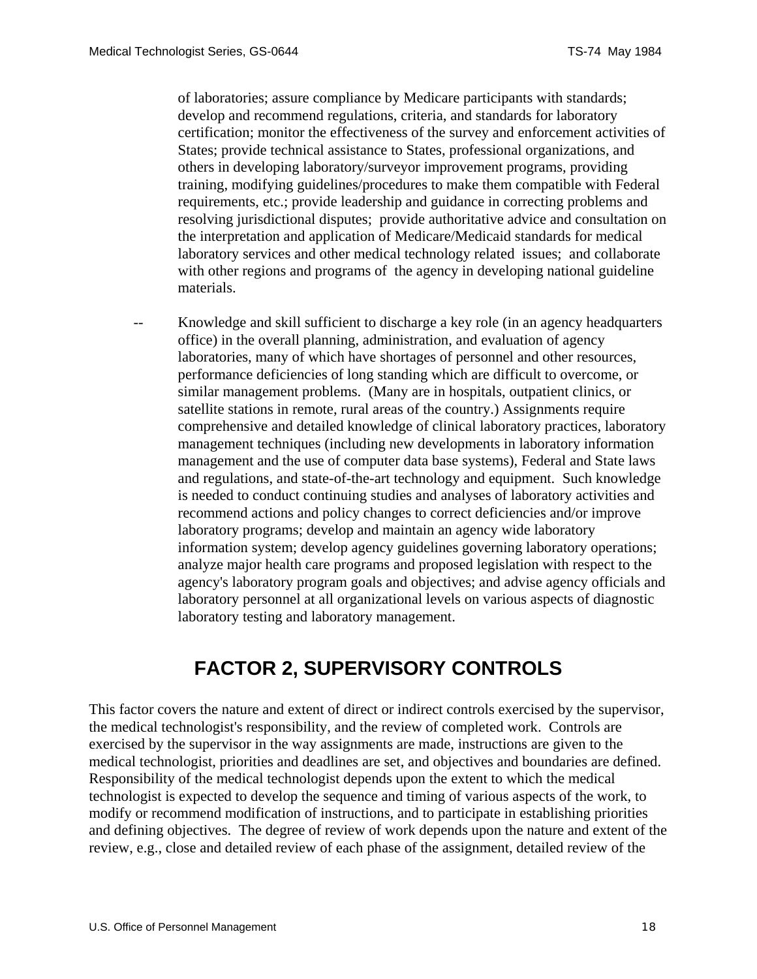<span id="page-17-0"></span>of laboratories; assure compliance by Medicare participants with standards; develop and recommend regulations, criteria, and standards for laboratory certification; monitor the effectiveness of the survey and enforcement activities of States; provide technical assistance to States, professional organizations, and others in developing laboratory/surveyor improvement programs, providing training, modifying guidelines/procedures to make them compatible with Federal requirements, etc.; provide leadership and guidance in correcting problems and resolving jurisdictional disputes; provide authoritative advice and consultation on the interpretation and application of Medicare/Medicaid standards for medical laboratory services and other medical technology related issues; and collaborate with other regions and programs of the agency in developing national guideline materials.

Knowledge and skill sufficient to discharge a key role (in an agency headquarters office) in the overall planning, administration, and evaluation of agency laboratories, many of which have shortages of personnel and other resources, performance deficiencies of long standing which are difficult to overcome, or similar management problems. (Many are in hospitals, outpatient clinics, or satellite stations in remote, rural areas of the country.) Assignments require comprehensive and detailed knowledge of clinical laboratory practices, laboratory management techniques (including new developments in laboratory information management and the use of computer data base systems), Federal and State laws and regulations, and state-of-the-art technology and equipment. Such knowledge is needed to conduct continuing studies and analyses of laboratory activities and recommend actions and policy changes to correct deficiencies and/or improve laboratory programs; develop and maintain an agency wide laboratory information system; develop agency guidelines governing laboratory operations; analyze major health care programs and proposed legislation with respect to the agency's laboratory program goals and objectives; and advise agency officials and laboratory personnel at all organizational levels on various aspects of diagnostic laboratory testing and laboratory management.

# **FACTOR 2, SUPERVISORY CONTROLS**

This factor covers the nature and extent of direct or indirect controls exercised by the supervisor, the medical technologist's responsibility, and the review of completed work. Controls are exercised by the supervisor in the way assignments are made, instructions are given to the medical technologist, priorities and deadlines are set, and objectives and boundaries are defined. Responsibility of the medical technologist depends upon the extent to which the medical technologist is expected to develop the sequence and timing of various aspects of the work, to modify or recommend modification of instructions, and to participate in establishing priorities and defining objectives. The degree of review of work depends upon the nature and extent of the review, e.g., close and detailed review of each phase of the assignment, detailed review of the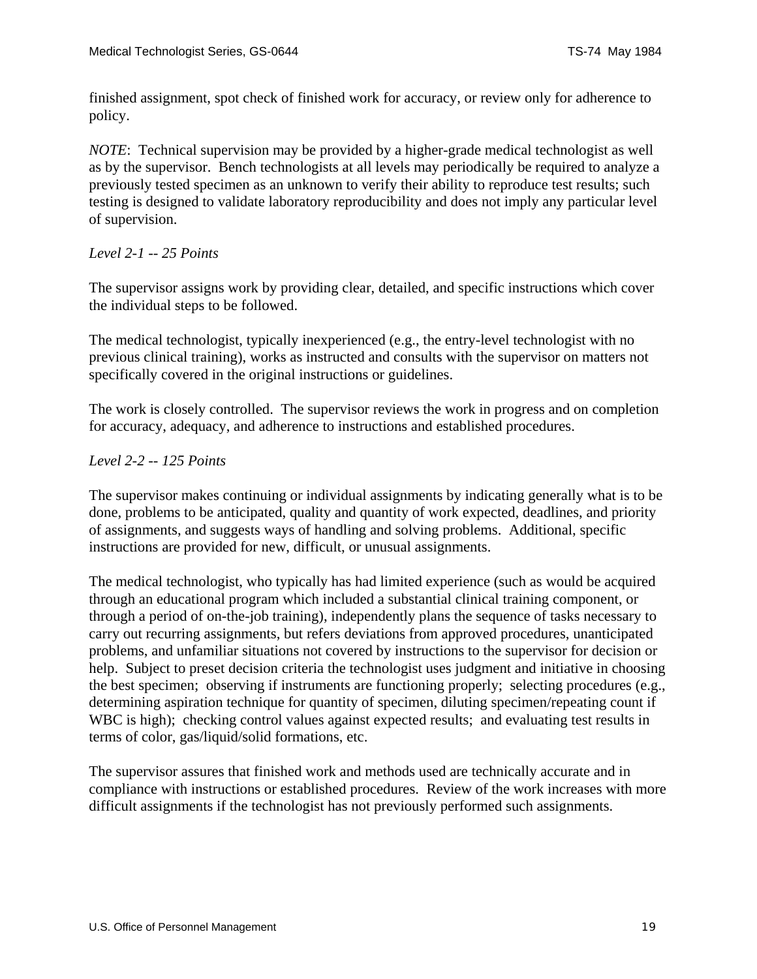finished assignment, spot check of finished work for accuracy, or review only for adherence to policy.

*NOTE*: Technical supervision may be provided by a higher-grade medical technologist as well as by the supervisor. Bench technologists at all levels may periodically be required to analyze a previously tested specimen as an unknown to verify their ability to reproduce test results; such testing is designed to validate laboratory reproducibility and does not imply any particular level of supervision.

## *Level 2-1 -- 25 Points*

The supervisor assigns work by providing clear, detailed, and specific instructions which cover the individual steps to be followed.

The medical technologist, typically inexperienced (e.g., the entry-level technologist with no previous clinical training), works as instructed and consults with the supervisor on matters not specifically covered in the original instructions or guidelines.

The work is closely controlled. The supervisor reviews the work in progress and on completion for accuracy, adequacy, and adherence to instructions and established procedures.

## *Level 2-2 -- 125 Points*

The supervisor makes continuing or individual assignments by indicating generally what is to be done, problems to be anticipated, quality and quantity of work expected, deadlines, and priority of assignments, and suggests ways of handling and solving problems. Additional, specific instructions are provided for new, difficult, or unusual assignments.

The medical technologist, who typically has had limited experience (such as would be acquired through an educational program which included a substantial clinical training component, or through a period of on-the-job training), independently plans the sequence of tasks necessary to carry out recurring assignments, but refers deviations from approved procedures, unanticipated problems, and unfamiliar situations not covered by instructions to the supervisor for decision or help. Subject to preset decision criteria the technologist uses judgment and initiative in choosing the best specimen; observing if instruments are functioning properly; selecting procedures (e.g., determining aspiration technique for quantity of specimen, diluting specimen/repeating count if WBC is high); checking control values against expected results; and evaluating test results in terms of color, gas/liquid/solid formations, etc.

The supervisor assures that finished work and methods used are technically accurate and in compliance with instructions or established procedures. Review of the work increases with more difficult assignments if the technologist has not previously performed such assignments.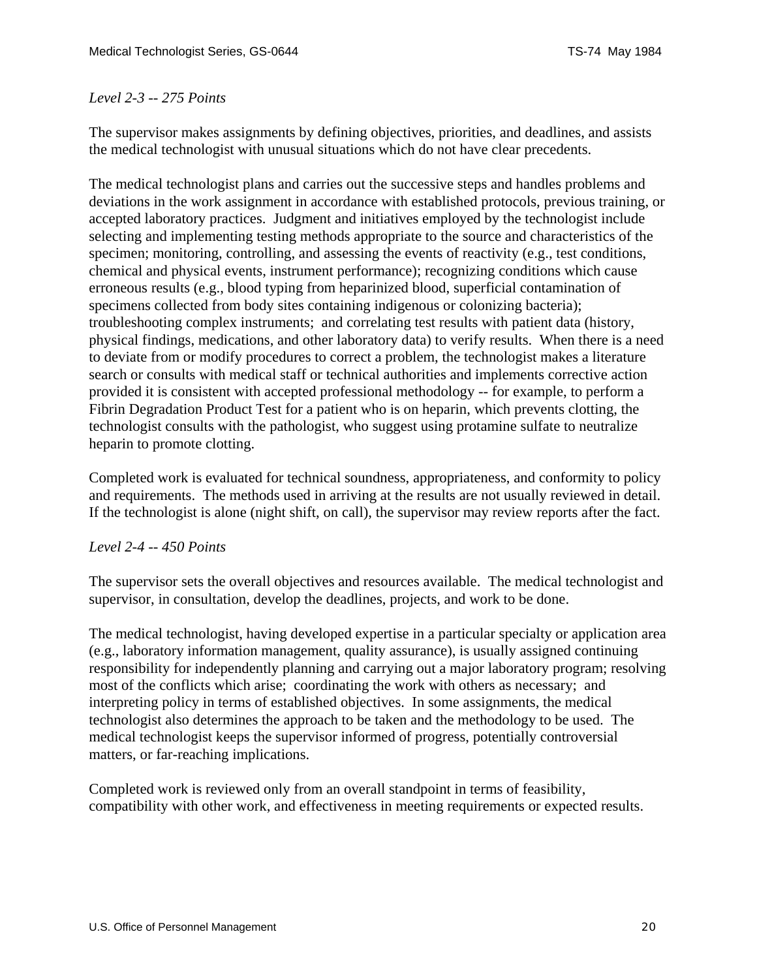### *Level 2-3 -- 275 Points*

The supervisor makes assignments by defining objectives, priorities, and deadlines, and assists the medical technologist with unusual situations which do not have clear precedents.

The medical technologist plans and carries out the successive steps and handles problems and deviations in the work assignment in accordance with established protocols, previous training, or accepted laboratory practices. Judgment and initiatives employed by the technologist include selecting and implementing testing methods appropriate to the source and characteristics of the specimen; monitoring, controlling, and assessing the events of reactivity (e.g., test conditions, chemical and physical events, instrument performance); recognizing conditions which cause erroneous results (e.g., blood typing from heparinized blood, superficial contamination of specimens collected from body sites containing indigenous or colonizing bacteria); troubleshooting complex instruments; and correlating test results with patient data (history, physical findings, medications, and other laboratory data) to verify results. When there is a need to deviate from or modify procedures to correct a problem, the technologist makes a literature search or consults with medical staff or technical authorities and implements corrective action provided it is consistent with accepted professional methodology -- for example, to perform a Fibrin Degradation Product Test for a patient who is on heparin, which prevents clotting, the technologist consults with the pathologist, who suggest using protamine sulfate to neutralize heparin to promote clotting.

Completed work is evaluated for technical soundness, appropriateness, and conformity to policy and requirements. The methods used in arriving at the results are not usually reviewed in detail. If the technologist is alone (night shift, on call), the supervisor may review reports after the fact.

### *Level 2-4 -- 450 Points*

The supervisor sets the overall objectives and resources available. The medical technologist and supervisor, in consultation, develop the deadlines, projects, and work to be done.

The medical technologist, having developed expertise in a particular specialty or application area (e.g., laboratory information management, quality assurance), is usually assigned continuing responsibility for independently planning and carrying out a major laboratory program; resolving most of the conflicts which arise; coordinating the work with others as necessary; and interpreting policy in terms of established objectives. In some assignments, the medical technologist also determines the approach to be taken and the methodology to be used. The medical technologist keeps the supervisor informed of progress, potentially controversial matters, or far-reaching implications.

Completed work is reviewed only from an overall standpoint in terms of feasibility, compatibility with other work, and effectiveness in meeting requirements or expected results.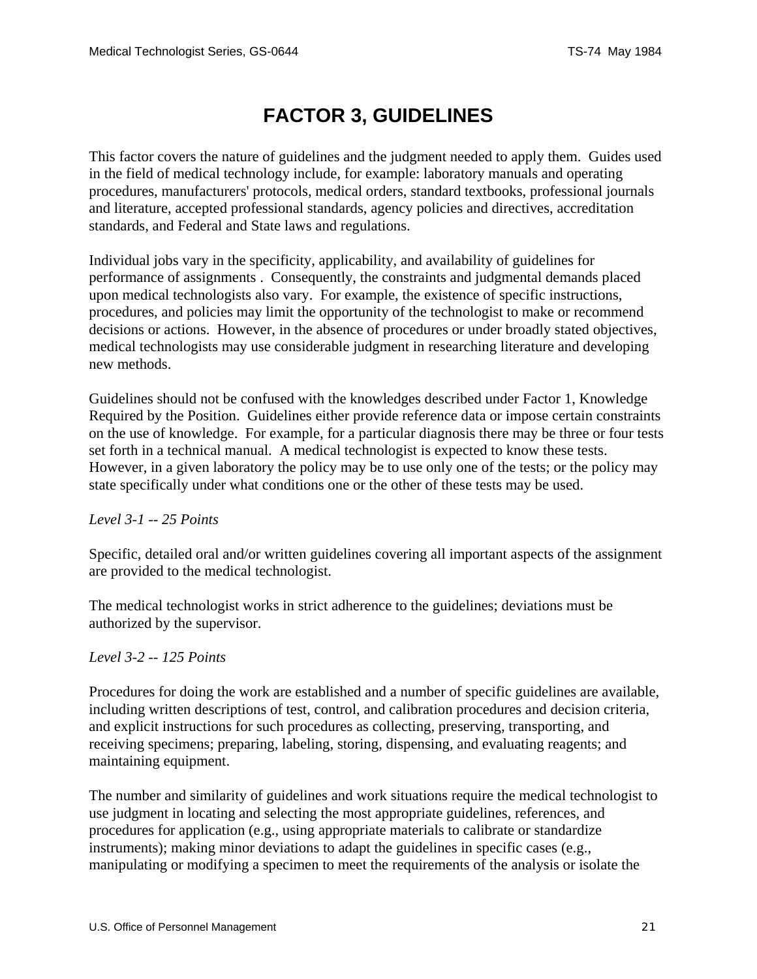# **FACTOR 3, GUIDELINES**

<span id="page-20-0"></span>This factor covers the nature of guidelines and the judgment needed to apply them. Guides used in the field of medical technology include, for example: laboratory manuals and operating procedures, manufacturers' protocols, medical orders, standard textbooks, professional journals and literature, accepted professional standards, agency policies and directives, accreditation standards, and Federal and State laws and regulations.

Individual jobs vary in the specificity, applicability, and availability of guidelines for performance of assignments . Consequently, the constraints and judgmental demands placed upon medical technologists also vary. For example, the existence of specific instructions, procedures, and policies may limit the opportunity of the technologist to make or recommend decisions or actions. However, in the absence of procedures or under broadly stated objectives, medical technologists may use considerable judgment in researching literature and developing new methods.

Guidelines should not be confused with the knowledges described under Factor 1, Knowledge Required by the Position. Guidelines either provide reference data or impose certain constraints on the use of knowledge. For example, for a particular diagnosis there may be three or four tests set forth in a technical manual. A medical technologist is expected to know these tests. However, in a given laboratory the policy may be to use only one of the tests; or the policy may state specifically under what conditions one or the other of these tests may be used.

### *Level 3-1 -- 25 Points*

Specific, detailed oral and/or written guidelines covering all important aspects of the assignment are provided to the medical technologist.

The medical technologist works in strict adherence to the guidelines; deviations must be authorized by the supervisor.

### *Level 3-2 -- 125 Points*

Procedures for doing the work are established and a number of specific guidelines are available, including written descriptions of test, control, and calibration procedures and decision criteria, and explicit instructions for such procedures as collecting, preserving, transporting, and receiving specimens; preparing, labeling, storing, dispensing, and evaluating reagents; and maintaining equipment.

The number and similarity of guidelines and work situations require the medical technologist to use judgment in locating and selecting the most appropriate guidelines, references, and procedures for application (e.g., using appropriate materials to calibrate or standardize instruments); making minor deviations to adapt the guidelines in specific cases (e.g., manipulating or modifying a specimen to meet the requirements of the analysis or isolate the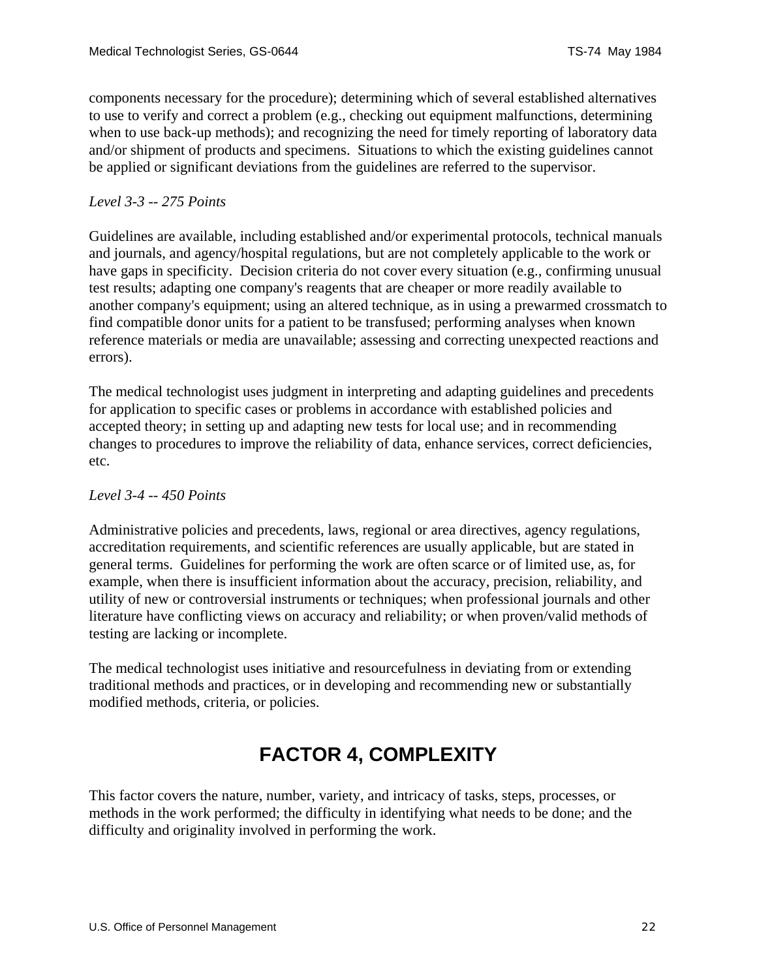<span id="page-21-0"></span>components necessary for the procedure); determining which of several established alternatives to use to verify and correct a problem (e.g., checking out equipment malfunctions, determining when to use back-up methods); and recognizing the need for timely reporting of laboratory data and/or shipment of products and specimens. Situations to which the existing guidelines cannot be applied or significant deviations from the guidelines are referred to the supervisor.

### *Level 3-3 -- 275 Points*

Guidelines are available, including established and/or experimental protocols, technical manuals and journals, and agency/hospital regulations, but are not completely applicable to the work or have gaps in specificity. Decision criteria do not cover every situation (e.g., confirming unusual test results; adapting one company's reagents that are cheaper or more readily available to another company's equipment; using an altered technique, as in using a prewarmed crossmatch to find compatible donor units for a patient to be transfused; performing analyses when known reference materials or media are unavailable; assessing and correcting unexpected reactions and errors).

The medical technologist uses judgment in interpreting and adapting guidelines and precedents for application to specific cases or problems in accordance with established policies and accepted theory; in setting up and adapting new tests for local use; and in recommending changes to procedures to improve the reliability of data, enhance services, correct deficiencies, etc.

### *Level 3-4 -- 450 Points*

Administrative policies and precedents, laws, regional or area directives, agency regulations, accreditation requirements, and scientific references are usually applicable, but are stated in general terms. Guidelines for performing the work are often scarce or of limited use, as, for example, when there is insufficient information about the accuracy, precision, reliability, and utility of new or controversial instruments or techniques; when professional journals and other literature have conflicting views on accuracy and reliability; or when proven/valid methods of testing are lacking or incomplete.

The medical technologist uses initiative and resourcefulness in deviating from or extending traditional methods and practices, or in developing and recommending new or substantially modified methods, criteria, or policies.

## **FACTOR 4, COMPLEXITY**

This factor covers the nature, number, variety, and intricacy of tasks, steps, processes, or methods in the work performed; the difficulty in identifying what needs to be done; and the difficulty and originality involved in performing the work.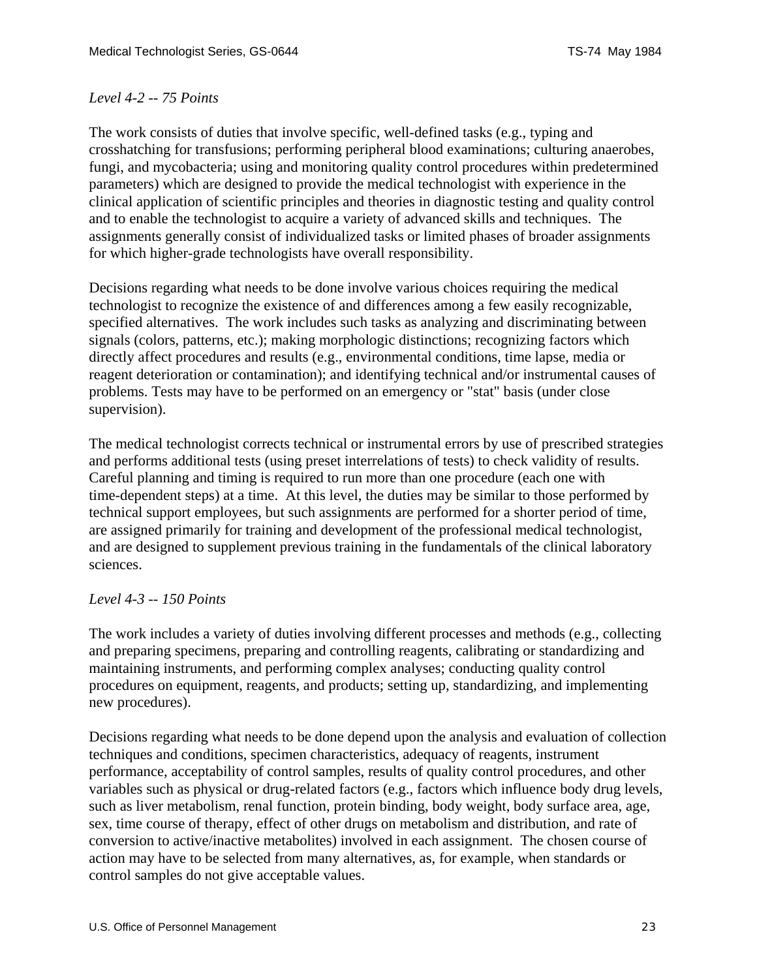### *Level 4-2 -- 75 Points*

The work consists of duties that involve specific, well-defined tasks (e.g., typing and crosshatching for transfusions; performing peripheral blood examinations; culturing anaerobes, fungi, and mycobacteria; using and monitoring quality control procedures within predetermined parameters) which are designed to provide the medical technologist with experience in the clinical application of scientific principles and theories in diagnostic testing and quality control and to enable the technologist to acquire a variety of advanced skills and techniques. The assignments generally consist of individualized tasks or limited phases of broader assignments for which higher-grade technologists have overall responsibility.

Decisions regarding what needs to be done involve various choices requiring the medical technologist to recognize the existence of and differences among a few easily recognizable, specified alternatives. The work includes such tasks as analyzing and discriminating between signals (colors, patterns, etc.); making morphologic distinctions; recognizing factors which directly affect procedures and results (e.g., environmental conditions, time lapse, media or reagent deterioration or contamination); and identifying technical and/or instrumental causes of problems. Tests may have to be performed on an emergency or "stat" basis (under close supervision).

The medical technologist corrects technical or instrumental errors by use of prescribed strategies and performs additional tests (using preset interrelations of tests) to check validity of results. Careful planning and timing is required to run more than one procedure (each one with time-dependent steps) at a time. At this level, the duties may be similar to those performed by technical support employees, but such assignments are performed for a shorter period of time, are assigned primarily for training and development of the professional medical technologist, and are designed to supplement previous training in the fundamentals of the clinical laboratory sciences.

### *Level 4-3 -- 150 Points*

The work includes a variety of duties involving different processes and methods (e.g., collecting and preparing specimens, preparing and controlling reagents, calibrating or standardizing and maintaining instruments, and performing complex analyses; conducting quality control procedures on equipment, reagents, and products; setting up, standardizing, and implementing new procedures).

Decisions regarding what needs to be done depend upon the analysis and evaluation of collection techniques and conditions, specimen characteristics, adequacy of reagents, instrument performance, acceptability of control samples, results of quality control procedures, and other variables such as physical or drug-related factors (e.g., factors which influence body drug levels, such as liver metabolism, renal function, protein binding, body weight, body surface area, age, sex, time course of therapy, effect of other drugs on metabolism and distribution, and rate of conversion to active/inactive metabolites) involved in each assignment. The chosen course of action may have to be selected from many alternatives, as, for example, when standards or control samples do not give acceptable values.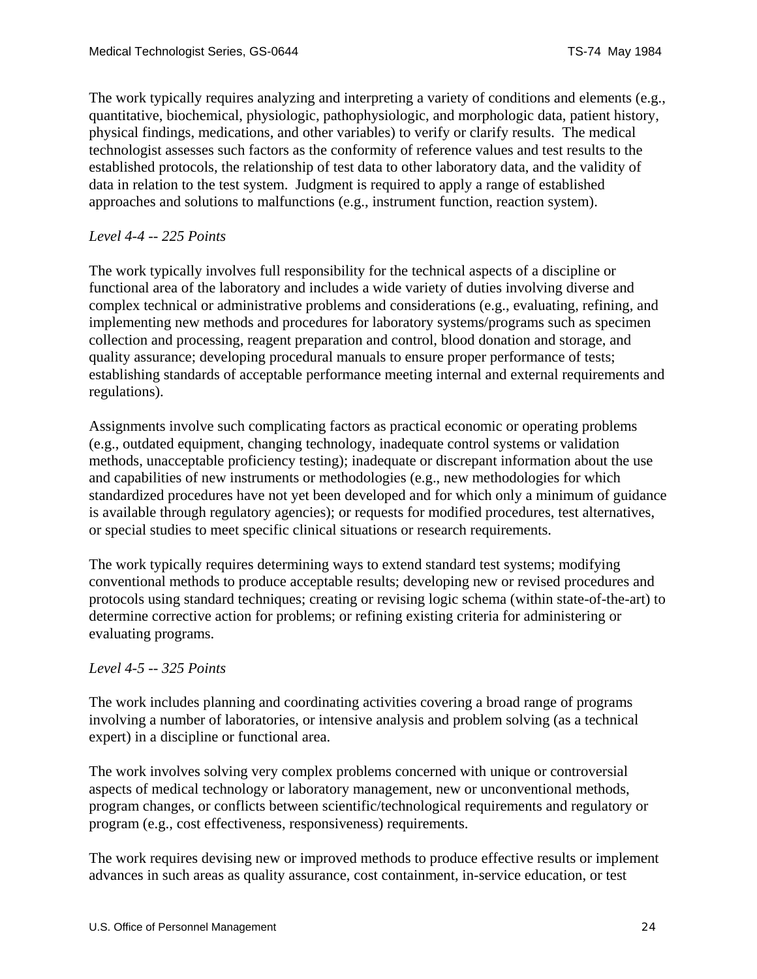The work typically requires analyzing and interpreting a variety of conditions and elements (e.g., quantitative, biochemical, physiologic, pathophysiologic, and morphologic data, patient history, physical findings, medications, and other variables) to verify or clarify results. The medical technologist assesses such factors as the conformity of reference values and test results to the established protocols, the relationship of test data to other laboratory data, and the validity of data in relation to the test system. Judgment is required to apply a range of established approaches and solutions to malfunctions (e.g., instrument function, reaction system).

## *Level 4-4 -- 225 Points*

The work typically involves full responsibility for the technical aspects of a discipline or functional area of the laboratory and includes a wide variety of duties involving diverse and complex technical or administrative problems and considerations (e.g., evaluating, refining, and implementing new methods and procedures for laboratory systems/programs such as specimen collection and processing, reagent preparation and control, blood donation and storage, and quality assurance; developing procedural manuals to ensure proper performance of tests; establishing standards of acceptable performance meeting internal and external requirements and regulations).

Assignments involve such complicating factors as practical economic or operating problems (e.g., outdated equipment, changing technology, inadequate control systems or validation methods, unacceptable proficiency testing); inadequate or discrepant information about the use and capabilities of new instruments or methodologies (e.g., new methodologies for which standardized procedures have not yet been developed and for which only a minimum of guidance is available through regulatory agencies); or requests for modified procedures, test alternatives, or special studies to meet specific clinical situations or research requirements.

The work typically requires determining ways to extend standard test systems; modifying conventional methods to produce acceptable results; developing new or revised procedures and protocols using standard techniques; creating or revising logic schema (within state-of-the-art) to determine corrective action for problems; or refining existing criteria for administering or evaluating programs.

### *Level 4-5 -- 325 Points*

The work includes planning and coordinating activities covering a broad range of programs involving a number of laboratories, or intensive analysis and problem solving (as a technical expert) in a discipline or functional area.

The work involves solving very complex problems concerned with unique or controversial aspects of medical technology or laboratory management, new or unconventional methods, program changes, or conflicts between scientific/technological requirements and regulatory or program (e.g., cost effectiveness, responsiveness) requirements.

The work requires devising new or improved methods to produce effective results or implement advances in such areas as quality assurance, cost containment, in-service education, or test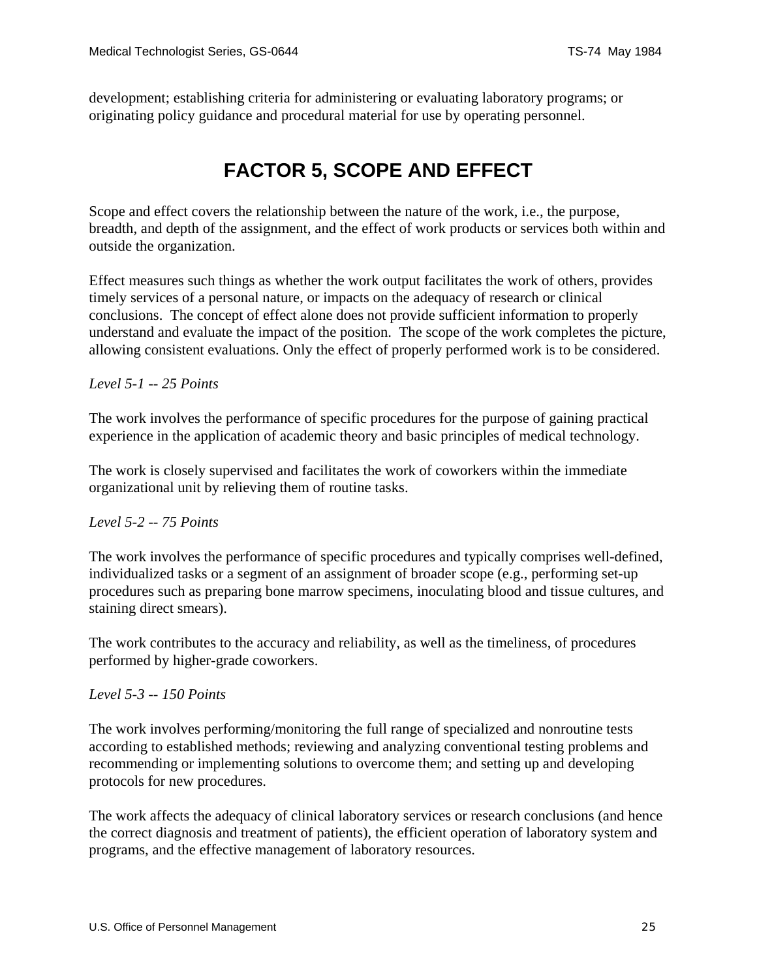<span id="page-24-0"></span>development; establishing criteria for administering or evaluating laboratory programs; or originating policy guidance and procedural material for use by operating personnel.

## **FACTOR 5, SCOPE AND EFFECT**

Scope and effect covers the relationship between the nature of the work, i.e., the purpose, breadth, and depth of the assignment, and the effect of work products or services both within and outside the organization.

Effect measures such things as whether the work output facilitates the work of others, provides timely services of a personal nature, or impacts on the adequacy of research or clinical conclusions. The concept of effect alone does not provide sufficient information to properly understand and evaluate the impact of the position. The scope of the work completes the picture, allowing consistent evaluations. Only the effect of properly performed work is to be considered.

### *Level 5-1 -- 25 Points*

The work involves the performance of specific procedures for the purpose of gaining practical experience in the application of academic theory and basic principles of medical technology.

The work is closely supervised and facilitates the work of coworkers within the immediate organizational unit by relieving them of routine tasks.

### *Level 5-2 -- 75 Points*

The work involves the performance of specific procedures and typically comprises well-defined, individualized tasks or a segment of an assignment of broader scope (e.g., performing set-up procedures such as preparing bone marrow specimens, inoculating blood and tissue cultures, and staining direct smears).

The work contributes to the accuracy and reliability, as well as the timeliness, of procedures performed by higher-grade coworkers.

### *Level 5-3 -- 150 Points*

The work involves performing/monitoring the full range of specialized and nonroutine tests according to established methods; reviewing and analyzing conventional testing problems and recommending or implementing solutions to overcome them; and setting up and developing protocols for new procedures.

The work affects the adequacy of clinical laboratory services or research conclusions (and hence the correct diagnosis and treatment of patients), the efficient operation of laboratory system and programs, and the effective management of laboratory resources.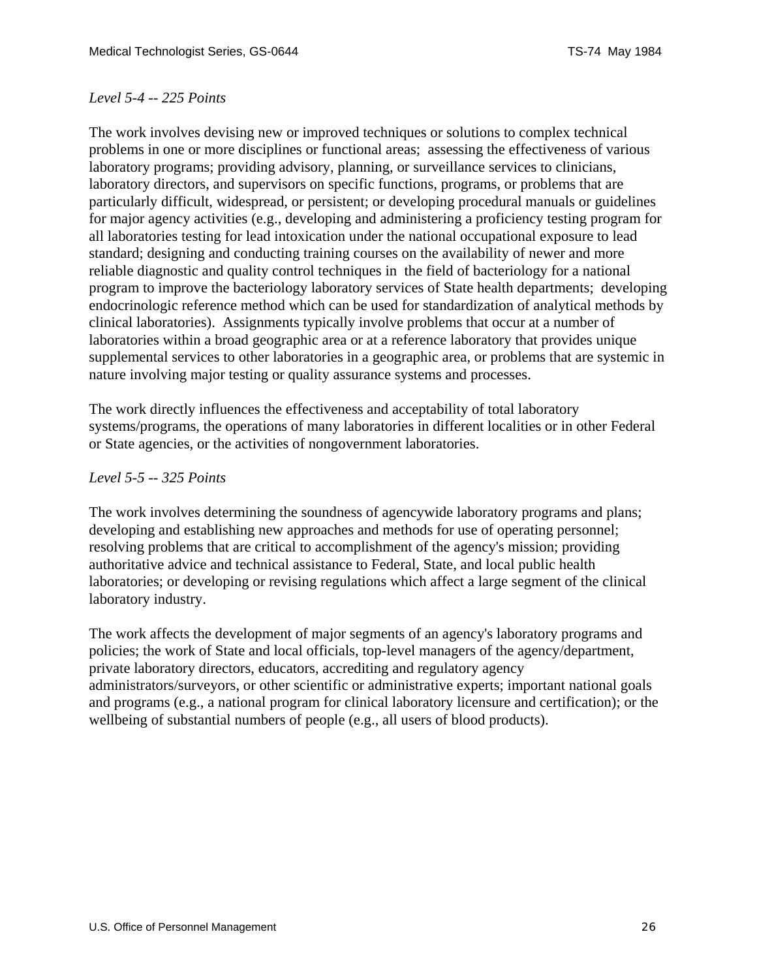#### *Level 5-4 -- 225 Points*

The work involves devising new or improved techniques or solutions to complex technical problems in one or more disciplines or functional areas; assessing the effectiveness of various laboratory programs; providing advisory, planning, or surveillance services to clinicians, laboratory directors, and supervisors on specific functions, programs, or problems that are particularly difficult, widespread, or persistent; or developing procedural manuals or guidelines for major agency activities (e.g., developing and administering a proficiency testing program for all laboratories testing for lead intoxication under the national occupational exposure to lead standard; designing and conducting training courses on the availability of newer and more reliable diagnostic and quality control techniques in the field of bacteriology for a national program to improve the bacteriology laboratory services of State health departments; developing endocrinologic reference method which can be used for standardization of analytical methods by clinical laboratories). Assignments typically involve problems that occur at a number of laboratories within a broad geographic area or at a reference laboratory that provides unique supplemental services to other laboratories in a geographic area, or problems that are systemic in nature involving major testing or quality assurance systems and processes.

The work directly influences the effectiveness and acceptability of total laboratory systems/programs, the operations of many laboratories in different localities or in other Federal or State agencies, or the activities of nongovernment laboratories.

### *Level 5-5 -- 325 Points*

The work involves determining the soundness of agencywide laboratory programs and plans; developing and establishing new approaches and methods for use of operating personnel; resolving problems that are critical to accomplishment of the agency's mission; providing authoritative advice and technical assistance to Federal, State, and local public health laboratories; or developing or revising regulations which affect a large segment of the clinical laboratory industry.

The work affects the development of major segments of an agency's laboratory programs and policies; the work of State and local officials, top-level managers of the agency/department, private laboratory directors, educators, accrediting and regulatory agency administrators/surveyors, or other scientific or administrative experts; important national goals and programs (e.g., a national program for clinical laboratory licensure and certification); or the wellbeing of substantial numbers of people (e.g., all users of blood products).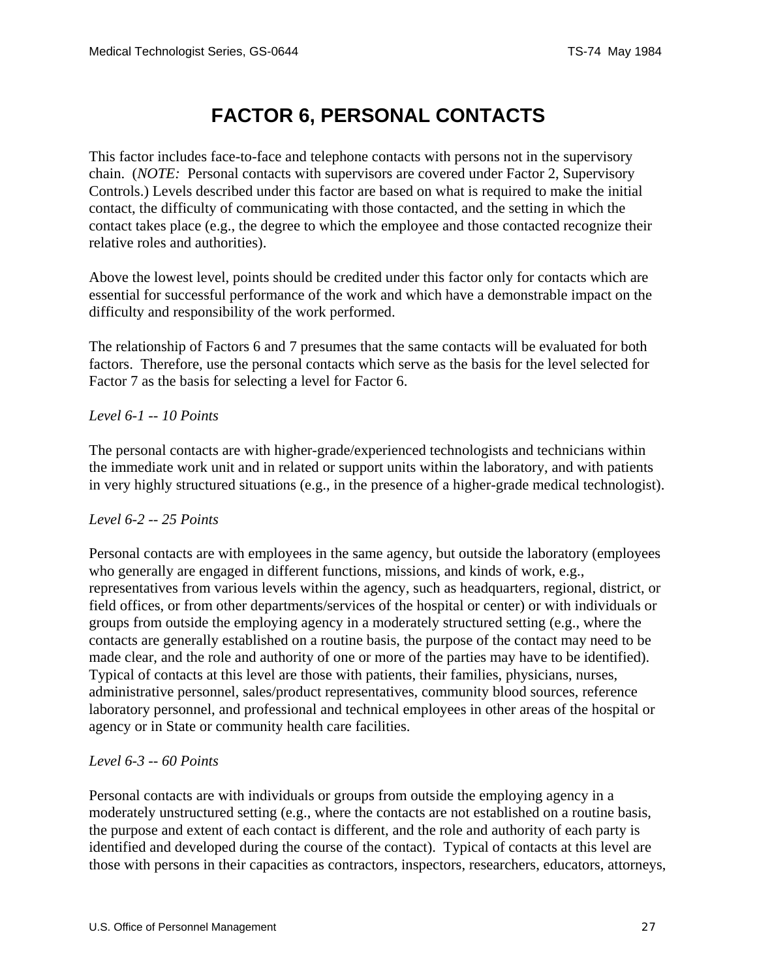# **FACTOR 6, PERSONAL CONTACTS**

<span id="page-26-0"></span>This factor includes face-to-face and telephone contacts with persons not in the supervisory chain. (*NOTE:* Personal contacts with supervisors are covered under Factor 2, Supervisory Controls.) Levels described under this factor are based on what is required to make the initial contact, the difficulty of communicating with those contacted, and the setting in which the contact takes place (e.g., the degree to which the employee and those contacted recognize their relative roles and authorities).

Above the lowest level, points should be credited under this factor only for contacts which are essential for successful performance of the work and which have a demonstrable impact on the difficulty and responsibility of the work performed.

The relationship of Factors 6 and 7 presumes that the same contacts will be evaluated for both factors. Therefore, use the personal contacts which serve as the basis for the level selected for Factor 7 as the basis for selecting a level for Factor 6.

### *Level 6-1 -- 10 Points*

The personal contacts are with higher-grade/experienced technologists and technicians within the immediate work unit and in related or support units within the laboratory, and with patients in very highly structured situations (e.g., in the presence of a higher-grade medical technologist).

### *Level 6-2 -- 25 Points*

Personal contacts are with employees in the same agency, but outside the laboratory (employees who generally are engaged in different functions, missions, and kinds of work, e.g., representatives from various levels within the agency, such as headquarters, regional, district, or field offices, or from other departments/services of the hospital or center) or with individuals or groups from outside the employing agency in a moderately structured setting (e.g., where the contacts are generally established on a routine basis, the purpose of the contact may need to be made clear, and the role and authority of one or more of the parties may have to be identified). Typical of contacts at this level are those with patients, their families, physicians, nurses, administrative personnel, sales/product representatives, community blood sources, reference laboratory personnel, and professional and technical employees in other areas of the hospital or agency or in State or community health care facilities.

### *Level 6-3 -- 60 Points*

Personal contacts are with individuals or groups from outside the employing agency in a moderately unstructured setting (e.g., where the contacts are not established on a routine basis, the purpose and extent of each contact is different, and the role and authority of each party is identified and developed during the course of the contact). Typical of contacts at this level are those with persons in their capacities as contractors, inspectors, researchers, educators, attorneys,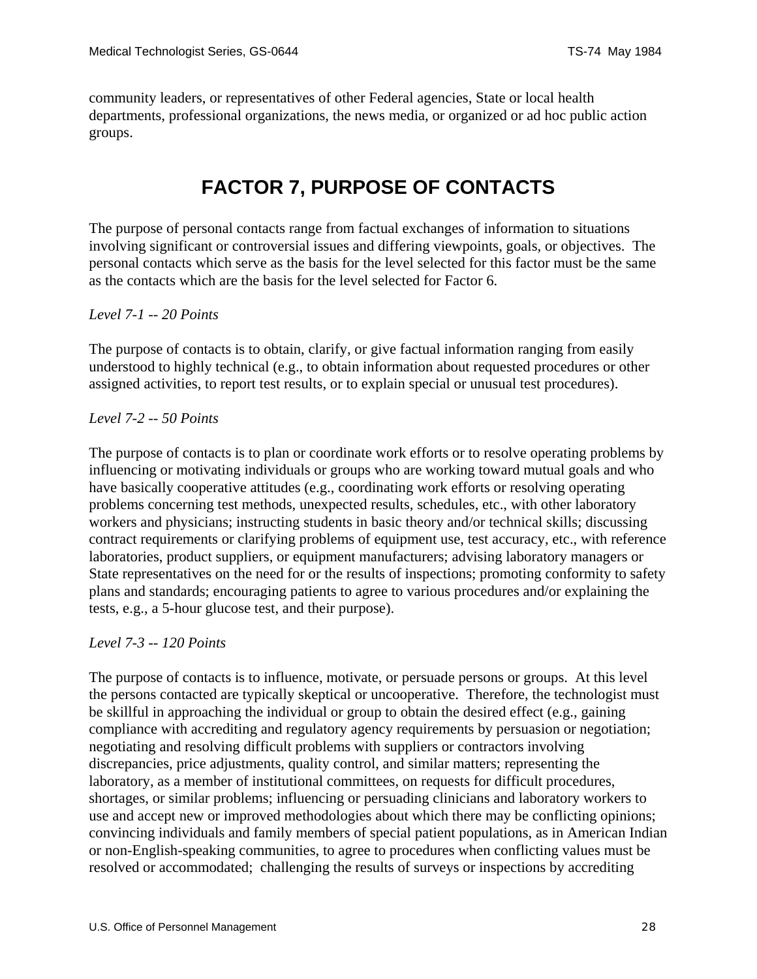<span id="page-27-0"></span>community leaders, or representatives of other Federal agencies, State or local health departments, professional organizations, the news media, or organized or ad hoc public action groups.

## **FACTOR 7, PURPOSE OF CONTACTS**

The purpose of personal contacts range from factual exchanges of information to situations involving significant or controversial issues and differing viewpoints, goals, or objectives. The personal contacts which serve as the basis for the level selected for this factor must be the same as the contacts which are the basis for the level selected for Factor 6.

#### *Level 7-1 -- 20 Points*

The purpose of contacts is to obtain, clarify, or give factual information ranging from easily understood to highly technical (e.g., to obtain information about requested procedures or other assigned activities, to report test results, or to explain special or unusual test procedures).

#### *Level 7-2 -- 50 Points*

The purpose of contacts is to plan or coordinate work efforts or to resolve operating problems by influencing or motivating individuals or groups who are working toward mutual goals and who have basically cooperative attitudes (e.g., coordinating work efforts or resolving operating problems concerning test methods, unexpected results, schedules, etc., with other laboratory workers and physicians; instructing students in basic theory and/or technical skills; discussing contract requirements or clarifying problems of equipment use, test accuracy, etc., with reference laboratories, product suppliers, or equipment manufacturers; advising laboratory managers or State representatives on the need for or the results of inspections; promoting conformity to safety plans and standards; encouraging patients to agree to various procedures and/or explaining the tests, e.g., a 5-hour glucose test, and their purpose).

### *Level 7-3 -- 120 Points*

The purpose of contacts is to influence, motivate, or persuade persons or groups. At this level the persons contacted are typically skeptical or uncooperative. Therefore, the technologist must be skillful in approaching the individual or group to obtain the desired effect (e.g., gaining compliance with accrediting and regulatory agency requirements by persuasion or negotiation; negotiating and resolving difficult problems with suppliers or contractors involving discrepancies, price adjustments, quality control, and similar matters; representing the laboratory, as a member of institutional committees, on requests for difficult procedures, shortages, or similar problems; influencing or persuading clinicians and laboratory workers to use and accept new or improved methodologies about which there may be conflicting opinions; convincing individuals and family members of special patient populations, as in American Indian or non-English-speaking communities, to agree to procedures when conflicting values must be resolved or accommodated; challenging the results of surveys or inspections by accrediting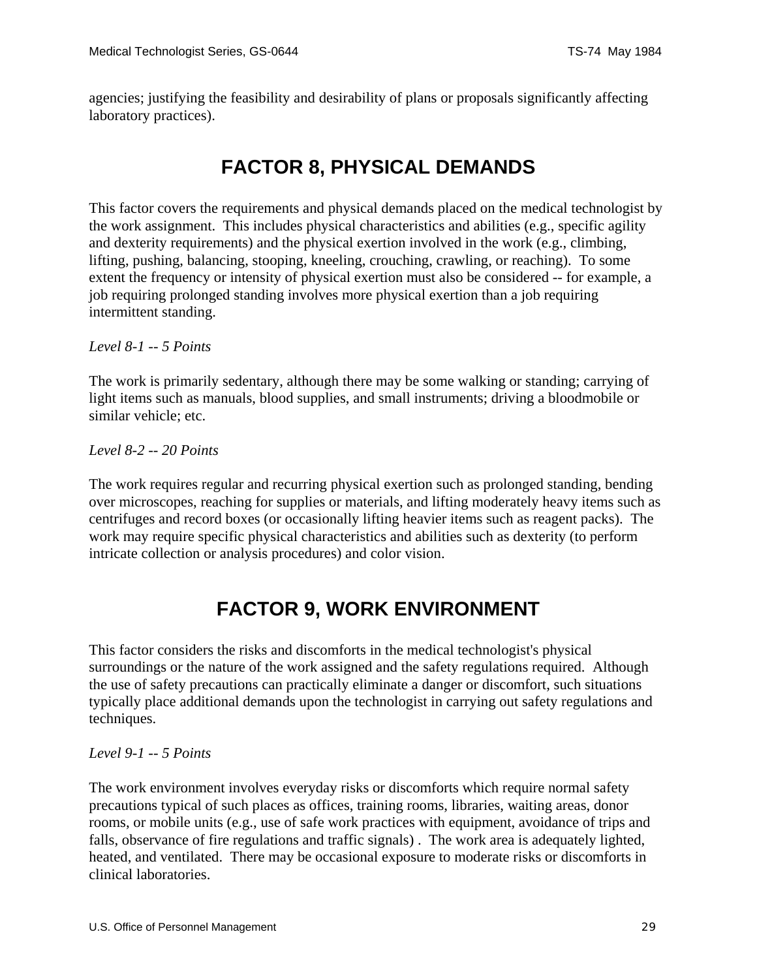<span id="page-28-0"></span>agencies; justifying the feasibility and desirability of plans or proposals significantly affecting laboratory practices).

# **FACTOR 8, PHYSICAL DEMANDS**

This factor covers the requirements and physical demands placed on the medical technologist by the work assignment. This includes physical characteristics and abilities (e.g., specific agility and dexterity requirements) and the physical exertion involved in the work (e.g., climbing, lifting, pushing, balancing, stooping, kneeling, crouching, crawling, or reaching). To some extent the frequency or intensity of physical exertion must also be considered -- for example, a job requiring prolonged standing involves more physical exertion than a job requiring intermittent standing.

### *Level 8-1 -- 5 Points*

The work is primarily sedentary, although there may be some walking or standing; carrying of light items such as manuals, blood supplies, and small instruments; driving a bloodmobile or similar vehicle; etc.

### *Level 8-2 -- 20 Points*

The work requires regular and recurring physical exertion such as prolonged standing, bending over microscopes, reaching for supplies or materials, and lifting moderately heavy items such as centrifuges and record boxes (or occasionally lifting heavier items such as reagent packs). The work may require specific physical characteristics and abilities such as dexterity (to perform intricate collection or analysis procedures) and color vision.

# **FACTOR 9, WORK ENVIRONMENT**

This factor considers the risks and discomforts in the medical technologist's physical surroundings or the nature of the work assigned and the safety regulations required. Although the use of safety precautions can practically eliminate a danger or discomfort, such situations typically place additional demands upon the technologist in carrying out safety regulations and techniques.

### *Level 9-1 -- 5 Points*

The work environment involves everyday risks or discomforts which require normal safety precautions typical of such places as offices, training rooms, libraries, waiting areas, donor rooms, or mobile units (e.g., use of safe work practices with equipment, avoidance of trips and falls, observance of fire regulations and traffic signals) . The work area is adequately lighted, heated, and ventilated. There may be occasional exposure to moderate risks or discomforts in clinical laboratories.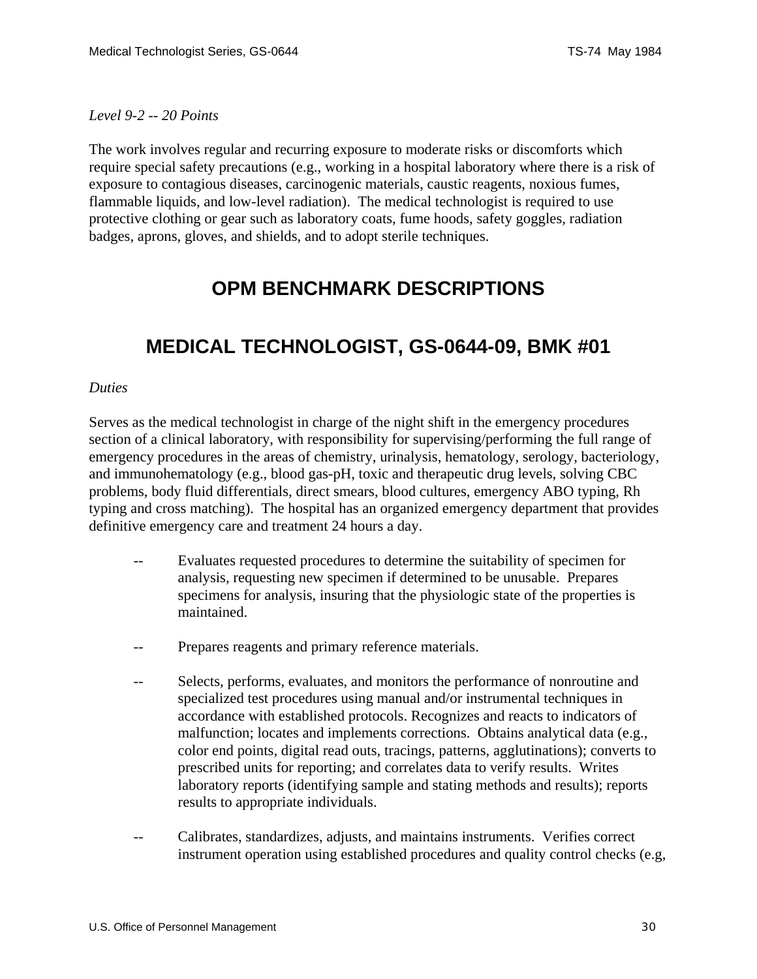<span id="page-29-0"></span>*Level 9-2 -- 20 Points*

The work involves regular and recurring exposure to moderate risks or discomforts which require special safety precautions (e.g., working in a hospital laboratory where there is a risk of exposure to contagious diseases, carcinogenic materials, caustic reagents, noxious fumes, flammable liquids, and low-level radiation). The medical technologist is required to use protective clothing or gear such as laboratory coats, fume hoods, safety goggles, radiation badges, aprons, gloves, and shields, and to adopt sterile techniques.

## **OPM BENCHMARK DESCRIPTIONS**

## **MEDICAL TECHNOLOGIST, GS-0644-09, BMK #01**

### *Duties*

Serves as the medical technologist in charge of the night shift in the emergency procedures section of a clinical laboratory, with responsibility for supervising/performing the full range of emergency procedures in the areas of chemistry, urinalysis, hematology, serology, bacteriology, and immunohematology (e.g., blood gas-pH, toxic and therapeutic drug levels, solving CBC problems, body fluid differentials, direct smears, blood cultures, emergency ABO typing, Rh typing and cross matching). The hospital has an organized emergency department that provides definitive emergency care and treatment 24 hours a day.

- -- Evaluates requested procedures to determine the suitability of specimen for analysis, requesting new specimen if determined to be unusable. Prepares specimens for analysis, insuring that the physiologic state of the properties is maintained.
- -- Prepares reagents and primary reference materials.
- -- Selects, performs, evaluates, and monitors the performance of nonroutine and specialized test procedures using manual and/or instrumental techniques in accordance with established protocols. Recognizes and reacts to indicators of malfunction; locates and implements corrections. Obtains analytical data (e.g., color end points, digital read outs, tracings, patterns, agglutinations); converts to prescribed units for reporting; and correlates data to verify results. Writes laboratory reports (identifying sample and stating methods and results); reports results to appropriate individuals.
- -- Calibrates, standardizes, adjusts, and maintains instruments. Verifies correct instrument operation using established procedures and quality control checks (e.g,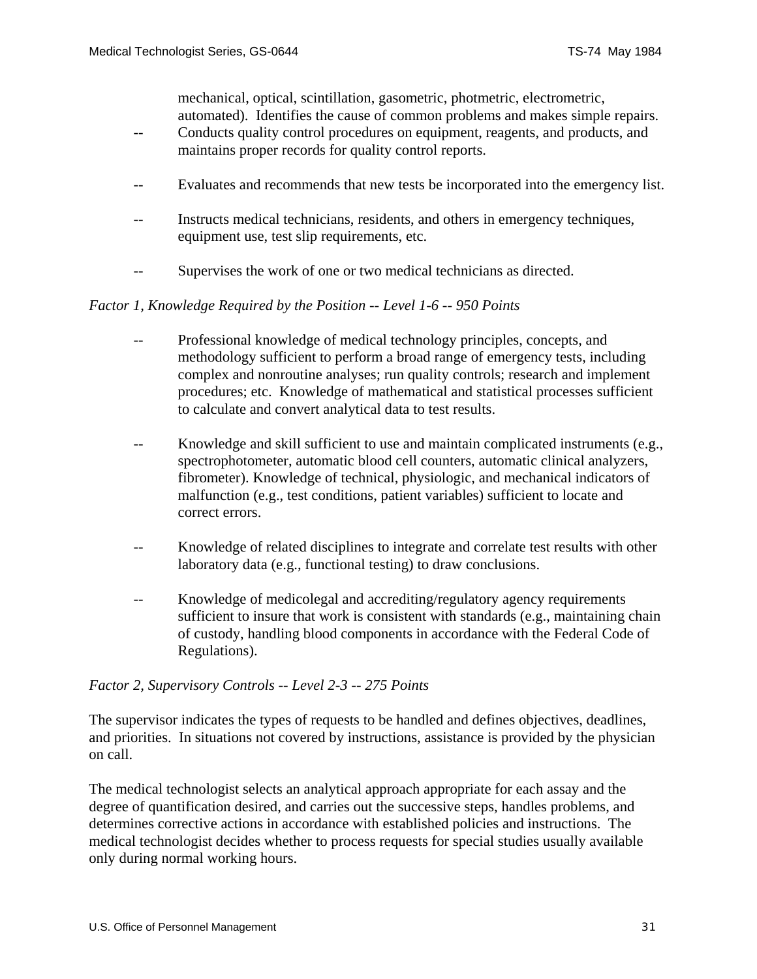mechanical, optical, scintillation, gasometric, photmetric, electrometric, automated). Identifies the cause of common problems and makes simple repairs.

- -- Conducts quality control procedures on equipment, reagents, and products, and maintains proper records for quality control reports.
- -- Evaluates and recommends that new tests be incorporated into the emergency list.
- -- Instructs medical technicians, residents, and others in emergency techniques, equipment use, test slip requirements, etc.
- -- Supervises the work of one or two medical technicians as directed.

### *Factor 1, Knowledge Required by the Position -- Level 1-6 -- 950 Points*

- Professional knowledge of medical technology principles, concepts, and methodology sufficient to perform a broad range of emergency tests, including complex and nonroutine analyses; run quality controls; research and implement procedures; etc. Knowledge of mathematical and statistical processes sufficient to calculate and convert analytical data to test results.
- -- Knowledge and skill sufficient to use and maintain complicated instruments (e.g., spectrophotometer, automatic blood cell counters, automatic clinical analyzers, fibrometer). Knowledge of technical, physiologic, and mechanical indicators of malfunction (e.g., test conditions, patient variables) sufficient to locate and correct errors.
- Knowledge of related disciplines to integrate and correlate test results with other laboratory data (e.g., functional testing) to draw conclusions.
- -- Knowledge of medicolegal and accrediting/regulatory agency requirements sufficient to insure that work is consistent with standards (e.g., maintaining chain of custody, handling blood components in accordance with the Federal Code of Regulations).

### *Factor 2, Supervisory Controls -- Level 2-3* -- *275 Points*

The supervisor indicates the types of requests to be handled and defines objectives, deadlines, and priorities. In situations not covered by instructions, assistance is provided by the physician on call.

The medical technologist selects an analytical approach appropriate for each assay and the degree of quantification desired, and carries out the successive steps, handles problems, and determines corrective actions in accordance with established policies and instructions. The medical technologist decides whether to process requests for special studies usually available only during normal working hours.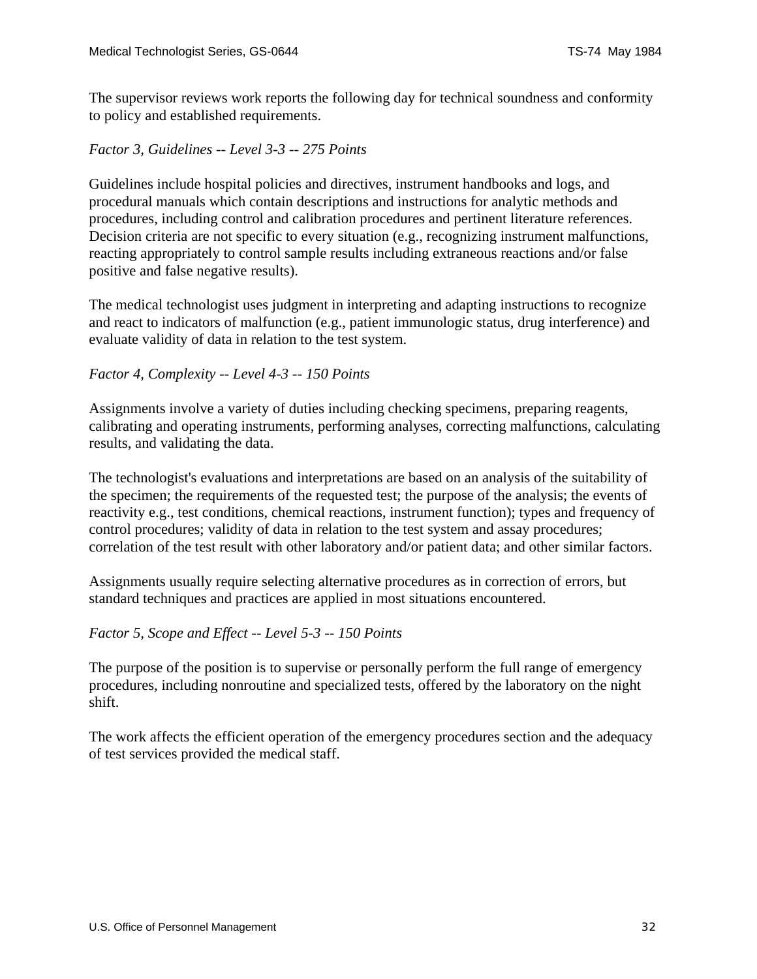The supervisor reviews work reports the following day for technical soundness and conformity to policy and established requirements.

## *Factor 3, Guidelines -- Level 3-3 -- 275 Points*

Guidelines include hospital policies and directives, instrument handbooks and logs, and procedural manuals which contain descriptions and instructions for analytic methods and procedures, including control and calibration procedures and pertinent literature references. Decision criteria are not specific to every situation (e.g., recognizing instrument malfunctions, reacting appropriately to control sample results including extraneous reactions and/or false positive and false negative results).

The medical technologist uses judgment in interpreting and adapting instructions to recognize and react to indicators of malfunction (e.g., patient immunologic status, drug interference) and evaluate validity of data in relation to the test system.

*Factor 4, Complexity -- Level 4-3 -- 150 Points* 

Assignments involve a variety of duties including checking specimens, preparing reagents, calibrating and operating instruments, performing analyses, correcting malfunctions, calculating results, and validating the data.

The technologist's evaluations and interpretations are based on an analysis of the suitability of the specimen; the requirements of the requested test; the purpose of the analysis; the events of reactivity e.g., test conditions, chemical reactions, instrument function); types and frequency of control procedures; validity of data in relation to the test system and assay procedures; correlation of the test result with other laboratory and/or patient data; and other similar factors.

Assignments usually require selecting alternative procedures as in correction of errors, but standard techniques and practices are applied in most situations encountered.

*Factor 5, Scope and Effect -- Level 5-3 -- 150 Points* 

The purpose of the position is to supervise or personally perform the full range of emergency procedures, including nonroutine and specialized tests, offered by the laboratory on the night shift.

The work affects the efficient operation of the emergency procedures section and the adequacy of test services provided the medical staff.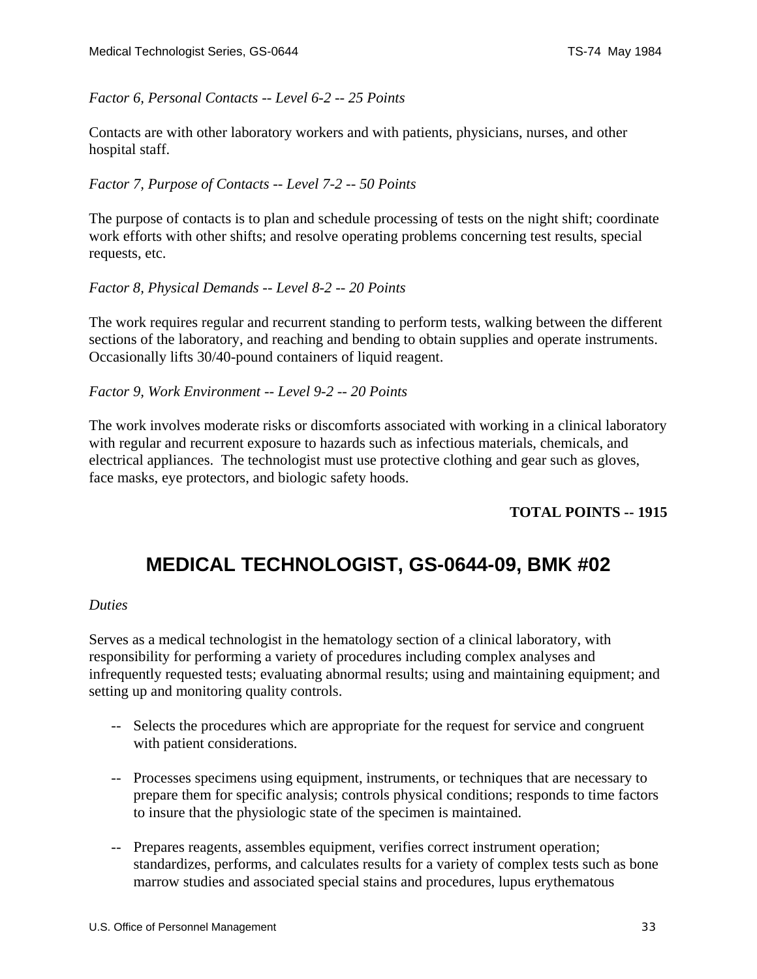<span id="page-32-0"></span>*Factor 6, Personal Contacts -- Level 6-2 -- 25 Points*

Contacts are with other laboratory workers and with patients, physicians, nurses, and other hospital staff.

*Factor 7, Purpose of Contacts -- Level 7-2 -- 50 Points* 

The purpose of contacts is to plan and schedule processing of tests on the night shift; coordinate work efforts with other shifts; and resolve operating problems concerning test results, special requests, etc.

*Factor 8, Physical Demands -- Level 8-2 -- 20 Points*

The work requires regular and recurrent standing to perform tests, walking between the different sections of the laboratory, and reaching and bending to obtain supplies and operate instruments. Occasionally lifts 30/40-pound containers of liquid reagent.

*Factor 9, Work Environment -- Level 9-2 -- 20 Points*

The work involves moderate risks or discomforts associated with working in a clinical laboratory with regular and recurrent exposure to hazards such as infectious materials, chemicals, and electrical appliances. The technologist must use protective clothing and gear such as gloves, face masks, eye protectors, and biologic safety hoods.

### **TOTAL POINTS -- 1915**

## **MEDICAL TECHNOLOGIST, GS-0644-09, BMK #02**

### *Duties*

Serves as a medical technologist in the hematology section of a clinical laboratory, with responsibility for performing a variety of procedures including complex analyses and infrequently requested tests; evaluating abnormal results; using and maintaining equipment; and setting up and monitoring quality controls.

- -- Selects the procedures which are appropriate for the request for service and congruent with patient considerations.
- -- Processes specimens using equipment, instruments, or techniques that are necessary to prepare them for specific analysis; controls physical conditions; responds to time factors to insure that the physiologic state of the specimen is maintained.
- -- Prepares reagents, assembles equipment, verifies correct instrument operation; standardizes, performs, and calculates results for a variety of complex tests such as bone marrow studies and associated special stains and procedures, lupus erythematous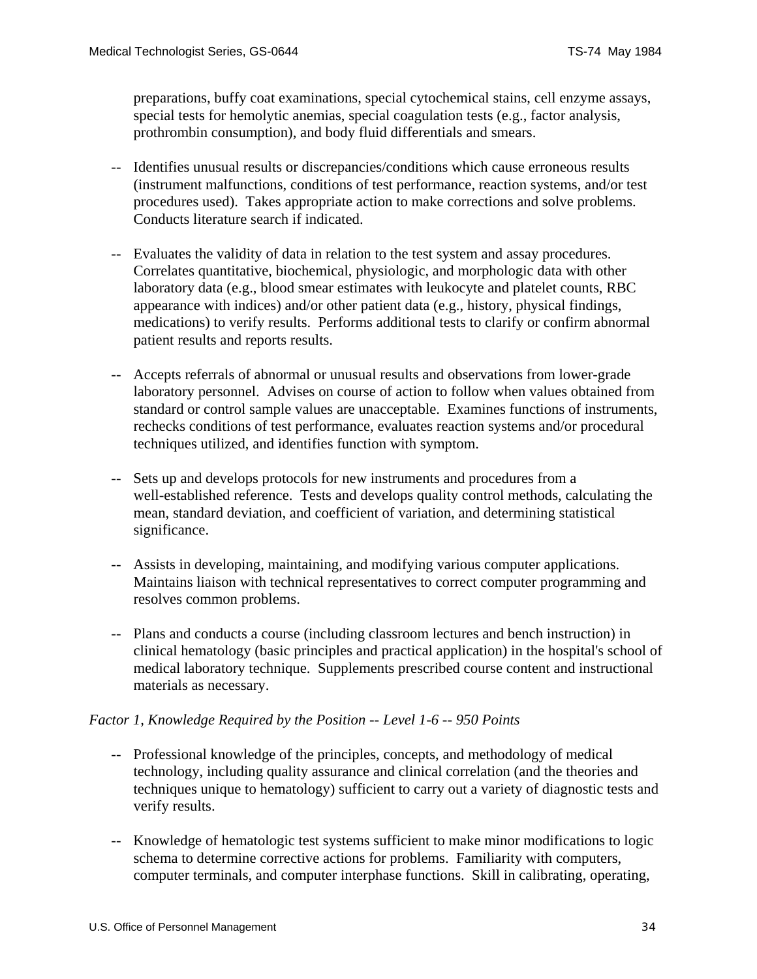preparations, buffy coat examinations, special cytochemical stains, cell enzyme assays, special tests for hemolytic anemias, special coagulation tests (e.g., factor analysis, prothrombin consumption), and body fluid differentials and smears.

- -- Identifies unusual results or discrepancies/conditions which cause erroneous results (instrument malfunctions, conditions of test performance, reaction systems, and/or test procedures used). Takes appropriate action to make corrections and solve problems. Conducts literature search if indicated.
- -- Evaluates the validity of data in relation to the test system and assay procedures. Correlates quantitative, biochemical, physiologic, and morphologic data with other laboratory data (e.g., blood smear estimates with leukocyte and platelet counts, RBC appearance with indices) and/or other patient data (e.g., history, physical findings, medications) to verify results. Performs additional tests to clarify or confirm abnormal patient results and reports results.
- -- Accepts referrals of abnormal or unusual results and observations from lower-grade laboratory personnel. Advises on course of action to follow when values obtained from standard or control sample values are unacceptable. Examines functions of instruments, rechecks conditions of test performance, evaluates reaction systems and/or procedural techniques utilized, and identifies function with symptom.
- -- Sets up and develops protocols for new instruments and procedures from a well-established reference. Tests and develops quality control methods, calculating the mean, standard deviation, and coefficient of variation, and determining statistical significance.
- -- Assists in developing, maintaining, and modifying various computer applications. Maintains liaison with technical representatives to correct computer programming and resolves common problems.
- -- Plans and conducts a course (including classroom lectures and bench instruction) in clinical hematology (basic principles and practical application) in the hospital's school of medical laboratory technique. Supplements prescribed course content and instructional materials as necessary.

### *Factor 1, Knowledge Required by the Position -- Level 1-6 -- 950 Points*

- -- Professional knowledge of the principles, concepts, and methodology of medical technology, including quality assurance and clinical correlation (and the theories and techniques unique to hematology) sufficient to carry out a variety of diagnostic tests and verify results.
- -- Knowledge of hematologic test systems sufficient to make minor modifications to logic schema to determine corrective actions for problems. Familiarity with computers, computer terminals, and computer interphase functions. Skill in calibrating, operating,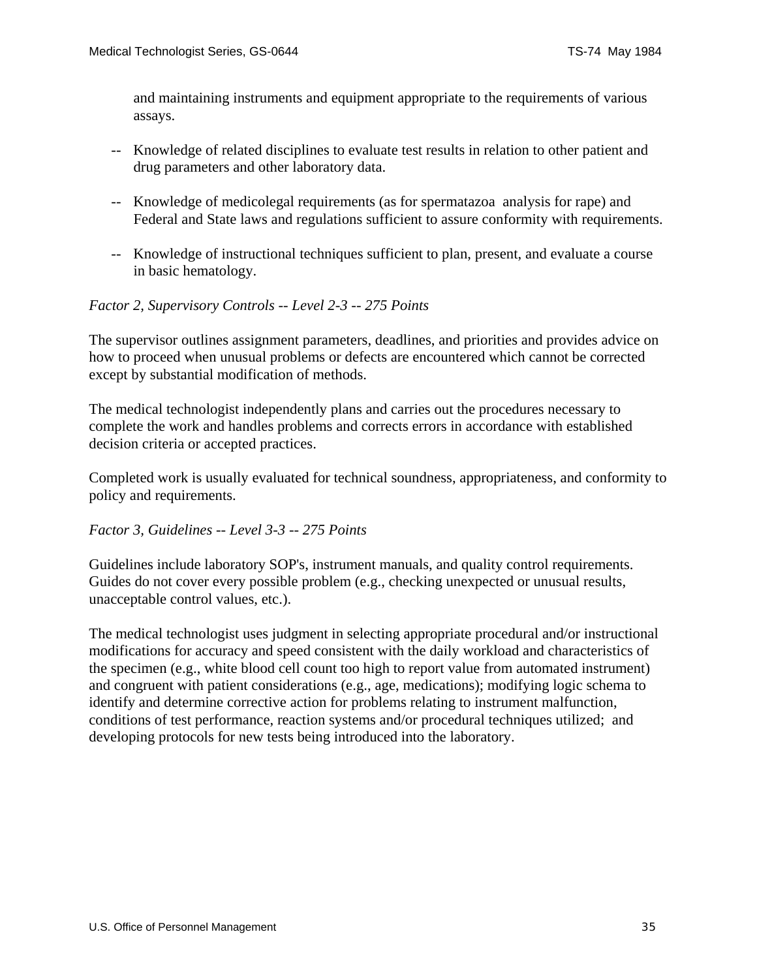and maintaining instruments and equipment appropriate to the requirements of various assays.

- -- Knowledge of related disciplines to evaluate test results in relation to other patient and drug parameters and other laboratory data.
- -- Knowledge of medicolegal requirements (as for spermatazoa analysis for rape) and Federal and State laws and regulations sufficient to assure conformity with requirements.
- -- Knowledge of instructional techniques sufficient to plan, present, and evaluate a course in basic hematology.

## *Factor 2, Supervisory Controls -- Level 2-3 -- 275 Points*

The supervisor outlines assignment parameters, deadlines, and priorities and provides advice on how to proceed when unusual problems or defects are encountered which cannot be corrected except by substantial modification of methods.

The medical technologist independently plans and carries out the procedures necessary to complete the work and handles problems and corrects errors in accordance with established decision criteria or accepted practices.

Completed work is usually evaluated for technical soundness, appropriateness, and conformity to policy and requirements.

### *Factor 3, Guidelines -- Level 3-3 -- 275 Points*

Guidelines include laboratory SOP's, instrument manuals, and quality control requirements. Guides do not cover every possible problem (e.g., checking unexpected or unusual results, unacceptable control values, etc.).

The medical technologist uses judgment in selecting appropriate procedural and/or instructional modifications for accuracy and speed consistent with the daily workload and characteristics of the specimen (e.g., white blood cell count too high to report value from automated instrument) and congruent with patient considerations (e.g., age, medications); modifying logic schema to identify and determine corrective action for problems relating to instrument malfunction, conditions of test performance, reaction systems and/or procedural techniques utilized; and developing protocols for new tests being introduced into the laboratory.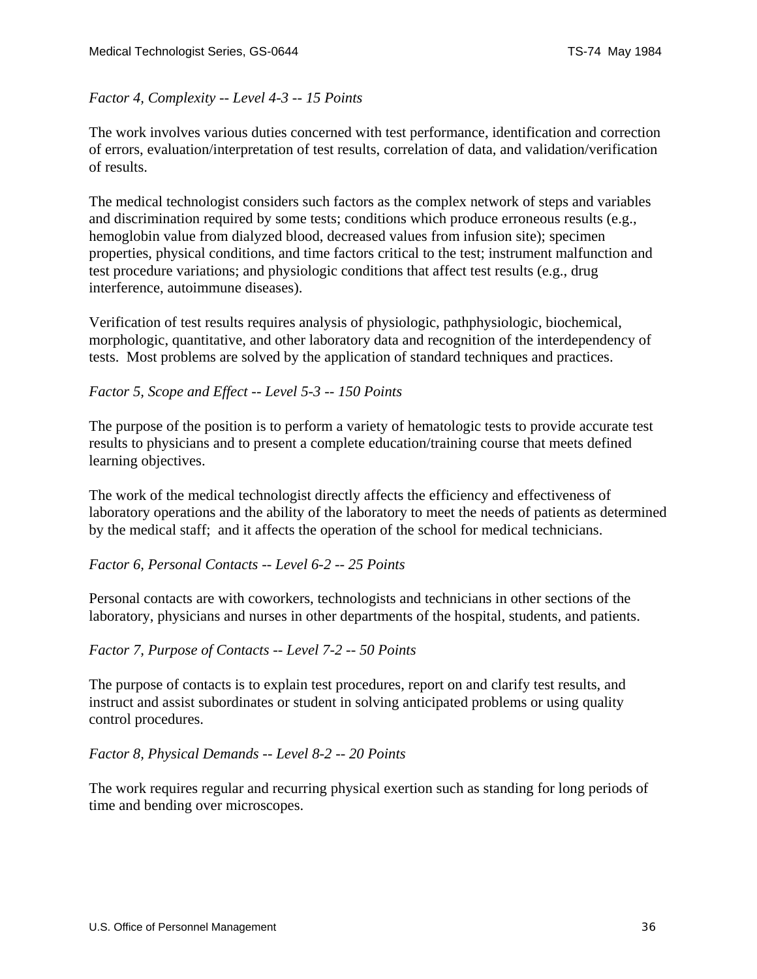### *Factor 4, Complexity -- Level 4-3 -- 15 Points*

The work involves various duties concerned with test performance, identification and correction of errors, evaluation/interpretation of test results, correlation of data, and validation/verification of results.

The medical technologist considers such factors as the complex network of steps and variables and discrimination required by some tests; conditions which produce erroneous results (e.g., hemoglobin value from dialyzed blood, decreased values from infusion site); specimen properties, physical conditions, and time factors critical to the test; instrument malfunction and test procedure variations; and physiologic conditions that affect test results (e.g., drug interference, autoimmune diseases).

Verification of test results requires analysis of physiologic, pathphysiologic, biochemical, morphologic, quantitative, and other laboratory data and recognition of the interdependency of tests. Most problems are solved by the application of standard techniques and practices.

*Factor 5, Scope and Effect -- Level 5-3 -- 150 Points*

The purpose of the position is to perform a variety of hematologic tests to provide accurate test results to physicians and to present a complete education/training course that meets defined learning objectives.

The work of the medical technologist directly affects the efficiency and effectiveness of laboratory operations and the ability of the laboratory to meet the needs of patients as determined by the medical staff; and it affects the operation of the school for medical technicians.

*Factor 6, Personal Contacts -- Level 6-2 -- 25 Points* 

Personal contacts are with coworkers, technologists and technicians in other sections of the laboratory, physicians and nurses in other departments of the hospital, students, and patients.

*Factor 7, Purpose of Contacts -- Level 7-2 -- 50 Points*

The purpose of contacts is to explain test procedures, report on and clarify test results, and instruct and assist subordinates or student in solving anticipated problems or using quality control procedures.

*Factor 8, Physical Demands -- Level 8-2 -- 20 Points*

The work requires regular and recurring physical exertion such as standing for long periods of time and bending over microscopes.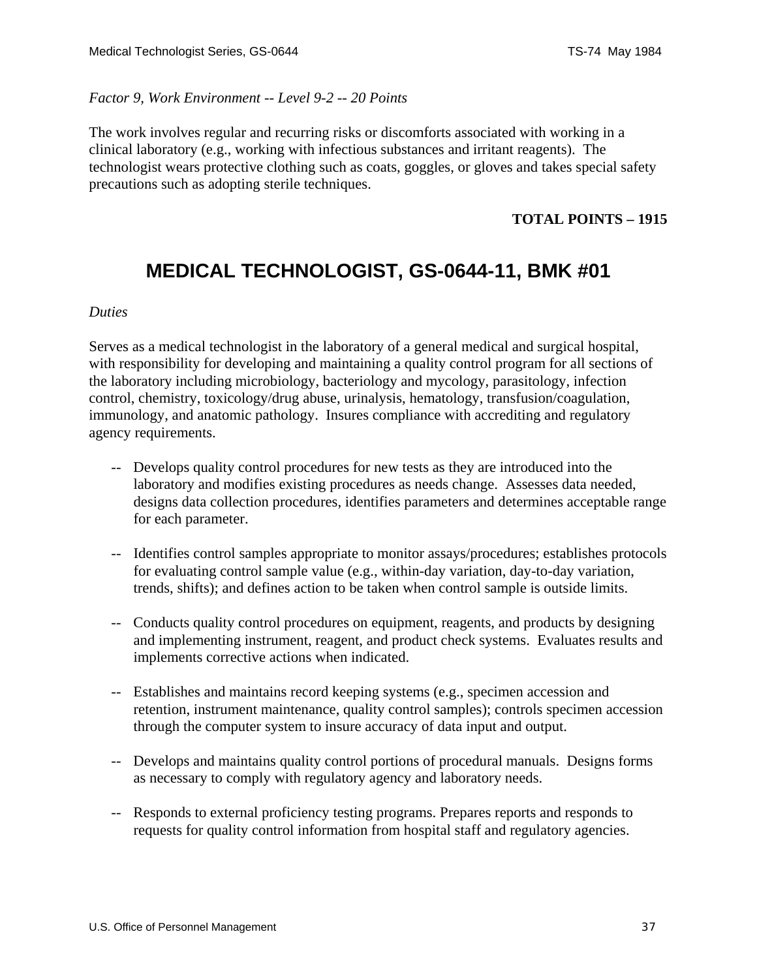### <span id="page-36-0"></span>*Factor 9, Work Environment -- Level 9-2 -- 20 Points*

The work involves regular and recurring risks or discomforts associated with working in a clinical laboratory (e.g., working with infectious substances and irritant reagents). The technologist wears protective clothing such as coats, goggles, or gloves and takes special safety precautions such as adopting sterile techniques.

### **TOTAL POINTS – 1915**

## **MEDICAL TECHNOLOGIST, GS-0644-11, BMK #01**

#### *Duties*

Serves as a medical technologist in the laboratory of a general medical and surgical hospital, with responsibility for developing and maintaining a quality control program for all sections of the laboratory including microbiology, bacteriology and mycology, parasitology, infection control, chemistry, toxicology/drug abuse, urinalysis, hematology, transfusion/coagulation, immunology, and anatomic pathology. Insures compliance with accrediting and regulatory agency requirements.

- -- Develops quality control procedures for new tests as they are introduced into the laboratory and modifies existing procedures as needs change. Assesses data needed, designs data collection procedures, identifies parameters and determines acceptable range for each parameter.
- -- Identifies control samples appropriate to monitor assays/procedures; establishes protocols for evaluating control sample value (e.g., within-day variation, day-to-day variation, trends, shifts); and defines action to be taken when control sample is outside limits.
- -- Conducts quality control procedures on equipment, reagents, and products by designing and implementing instrument, reagent, and product check systems. Evaluates results and implements corrective actions when indicated.
- -- Establishes and maintains record keeping systems (e.g., specimen accession and retention, instrument maintenance, quality control samples); controls specimen accession through the computer system to insure accuracy of data input and output.
- -- Develops and maintains quality control portions of procedural manuals. Designs forms as necessary to comply with regulatory agency and laboratory needs.
- -- Responds to external proficiency testing programs. Prepares reports and responds to requests for quality control information from hospital staff and regulatory agencies.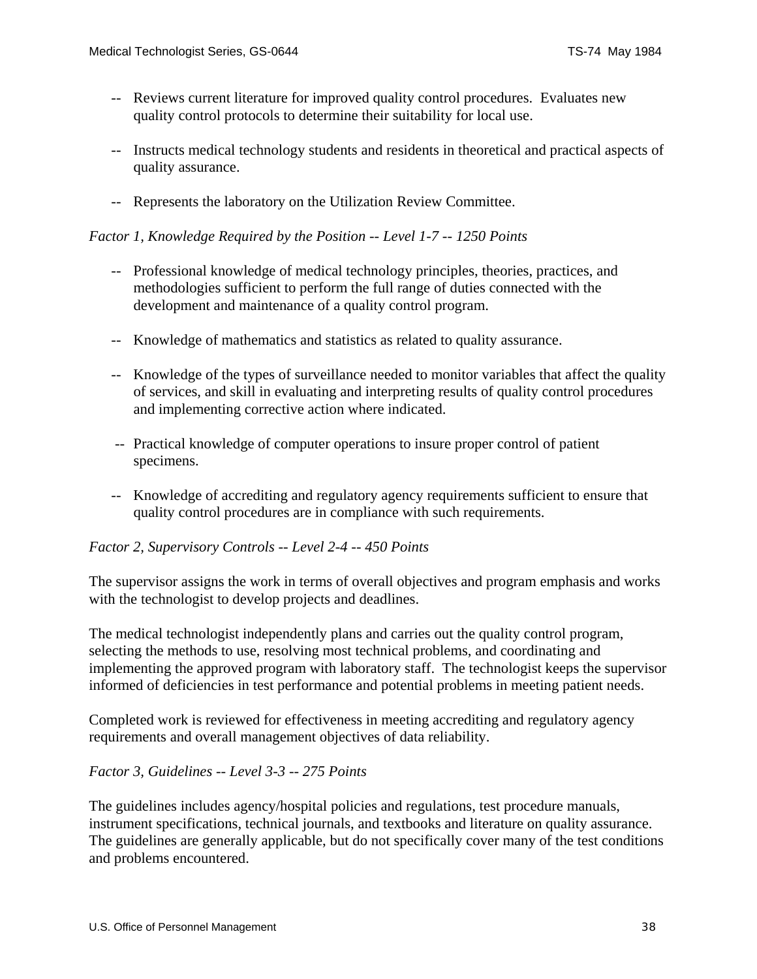- -- Reviews current literature for improved quality control procedures. Evaluates new quality control protocols to determine their suitability for local use.
- -- Instructs medical technology students and residents in theoretical and practical aspects of quality assurance.
- -- Represents the laboratory on the Utilization Review Committee.

### *Factor 1, Knowledge Required by the Position -- Level 1-7 -- 1250 Points*

- -- Professional knowledge of medical technology principles, theories, practices, and methodologies sufficient to perform the full range of duties connected with the development and maintenance of a quality control program.
- -- Knowledge of mathematics and statistics as related to quality assurance.
- -- Knowledge of the types of surveillance needed to monitor variables that affect the quality of services, and skill in evaluating and interpreting results of quality control procedures and implementing corrective action where indicated.
- -- Practical knowledge of computer operations to insure proper control of patient specimens.
- -- Knowledge of accrediting and regulatory agency requirements sufficient to ensure that quality control procedures are in compliance with such requirements.

### *Factor 2, Supervisory Controls -- Level 2-4 -- 450 Points*

The supervisor assigns the work in terms of overall objectives and program emphasis and works with the technologist to develop projects and deadlines.

The medical technologist independently plans and carries out the quality control program, selecting the methods to use, resolving most technical problems, and coordinating and implementing the approved program with laboratory staff. The technologist keeps the supervisor informed of deficiencies in test performance and potential problems in meeting patient needs.

Completed work is reviewed for effectiveness in meeting accrediting and regulatory agency requirements and overall management objectives of data reliability.

### *Factor 3, Guidelines -- Level 3-3 -- 275 Points*

The guidelines includes agency/hospital policies and regulations, test procedure manuals, instrument specifications, technical journals, and textbooks and literature on quality assurance. The guidelines are generally applicable, but do not specifically cover many of the test conditions and problems encountered.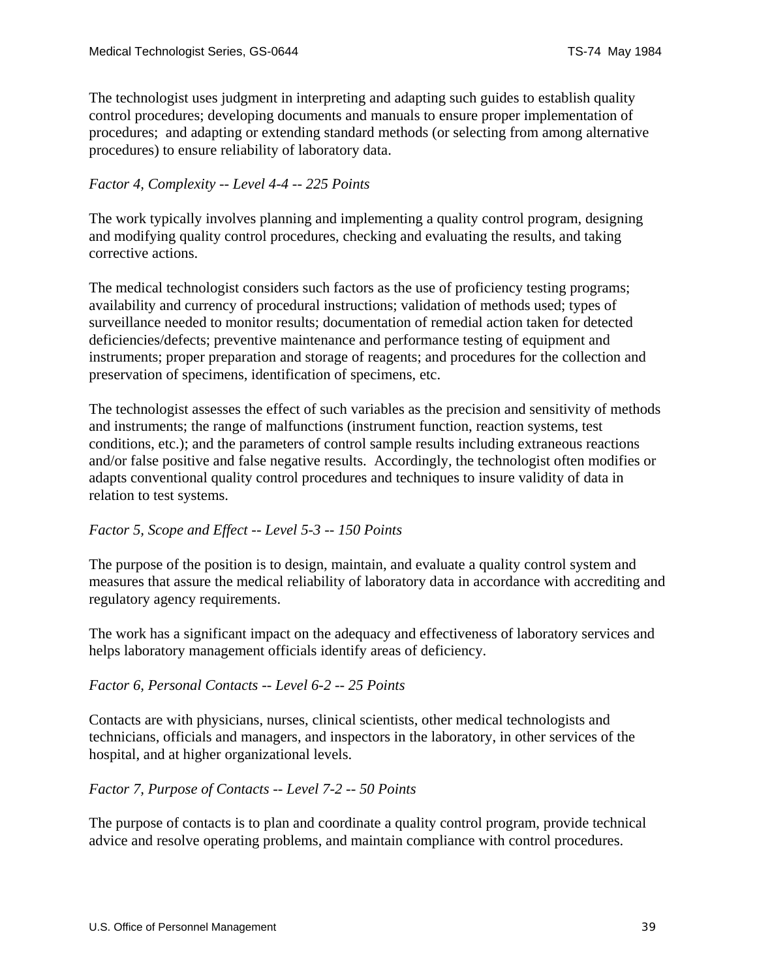The technologist uses judgment in interpreting and adapting such guides to establish quality control procedures; developing documents and manuals to ensure proper implementation of procedures; and adapting or extending standard methods (or selecting from among alternative procedures) to ensure reliability of laboratory data.

### *Factor 4, Complexity -- Level 4-4 -- 225 Points*

The work typically involves planning and implementing a quality control program, designing and modifying quality control procedures, checking and evaluating the results, and taking corrective actions.

The medical technologist considers such factors as the use of proficiency testing programs; availability and currency of procedural instructions; validation of methods used; types of surveillance needed to monitor results; documentation of remedial action taken for detected deficiencies/defects; preventive maintenance and performance testing of equipment and instruments; proper preparation and storage of reagents; and procedures for the collection and preservation of specimens, identification of specimens, etc.

The technologist assesses the effect of such variables as the precision and sensitivity of methods and instruments; the range of malfunctions (instrument function, reaction systems, test conditions, etc.); and the parameters of control sample results including extraneous reactions and/or false positive and false negative results. Accordingly, the technologist often modifies or adapts conventional quality control procedures and techniques to insure validity of data in relation to test systems.

### *Factor 5, Scope and Effect -- Level 5-3 -- 150 Points*

The purpose of the position is to design, maintain, and evaluate a quality control system and measures that assure the medical reliability of laboratory data in accordance with accrediting and regulatory agency requirements.

The work has a significant impact on the adequacy and effectiveness of laboratory services and helps laboratory management officials identify areas of deficiency.

*Factor 6, Personal Contacts -- Level 6-2 -- 25 Points*

Contacts are with physicians, nurses, clinical scientists, other medical technologists and technicians, officials and managers, and inspectors in the laboratory, in other services of the hospital, and at higher organizational levels.

### *Factor 7, Purpose of Contacts -- Level 7-2 -- 50 Points*

The purpose of contacts is to plan and coordinate a quality control program, provide technical advice and resolve operating problems, and maintain compliance with control procedures.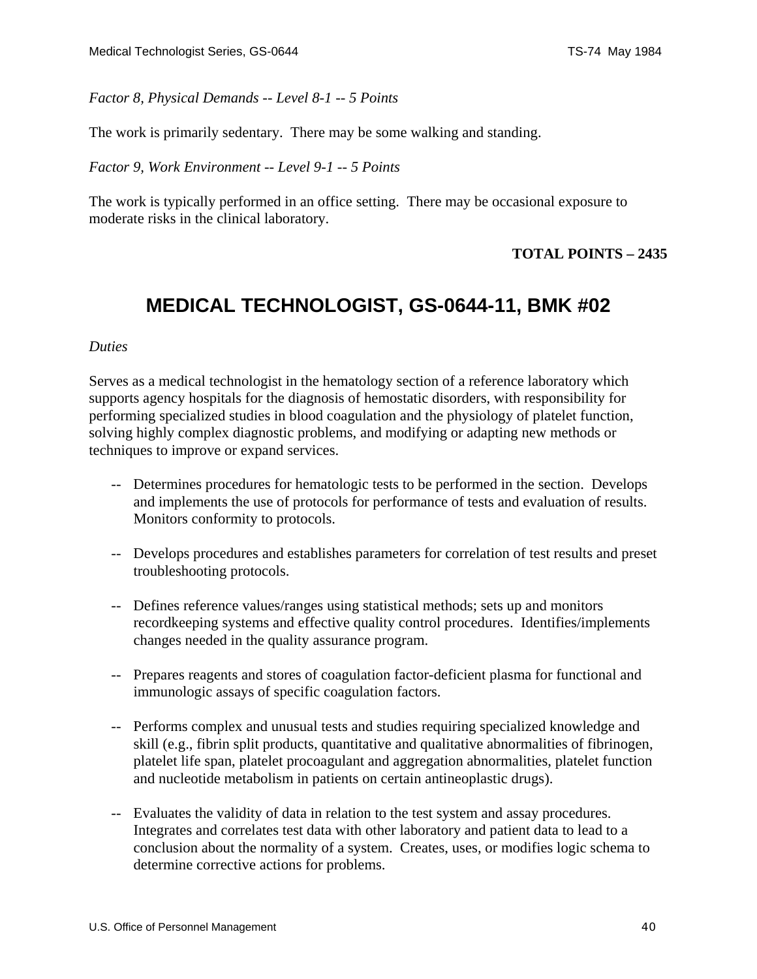<span id="page-39-0"></span>*Factor 8, Physical Demands -- Level 8-1 -- 5 Points*

The work is primarily sedentary. There may be some walking and standing.

*Factor 9, Work Environment -- Level 9-1 -- 5 Points*

The work is typically performed in an office setting. There may be occasional exposure to moderate risks in the clinical laboratory.

### **TOTAL POINTS – 2435**

## **MEDICAL TECHNOLOGIST, GS-0644-11, BMK #02**

#### *Duties*

Serves as a medical technologist in the hematology section of a reference laboratory which supports agency hospitals for the diagnosis of hemostatic disorders, with responsibility for performing specialized studies in blood coagulation and the physiology of platelet function, solving highly complex diagnostic problems, and modifying or adapting new methods or techniques to improve or expand services.

- -- Determines procedures for hematologic tests to be performed in the section. Develops and implements the use of protocols for performance of tests and evaluation of results. Monitors conformity to protocols.
- -- Develops procedures and establishes parameters for correlation of test results and preset troubleshooting protocols.
- -- Defines reference values/ranges using statistical methods; sets up and monitors recordkeeping systems and effective quality control procedures. Identifies/implements changes needed in the quality assurance program.
- -- Prepares reagents and stores of coagulation factor-deficient plasma for functional and immunologic assays of specific coagulation factors.
- -- Performs complex and unusual tests and studies requiring specialized knowledge and skill (e.g., fibrin split products, quantitative and qualitative abnormalities of fibrinogen, platelet life span, platelet procoagulant and aggregation abnormalities, platelet function and nucleotide metabolism in patients on certain antineoplastic drugs).
- -- Evaluates the validity of data in relation to the test system and assay procedures. Integrates and correlates test data with other laboratory and patient data to lead to a conclusion about the normality of a system. Creates, uses, or modifies logic schema to determine corrective actions for problems.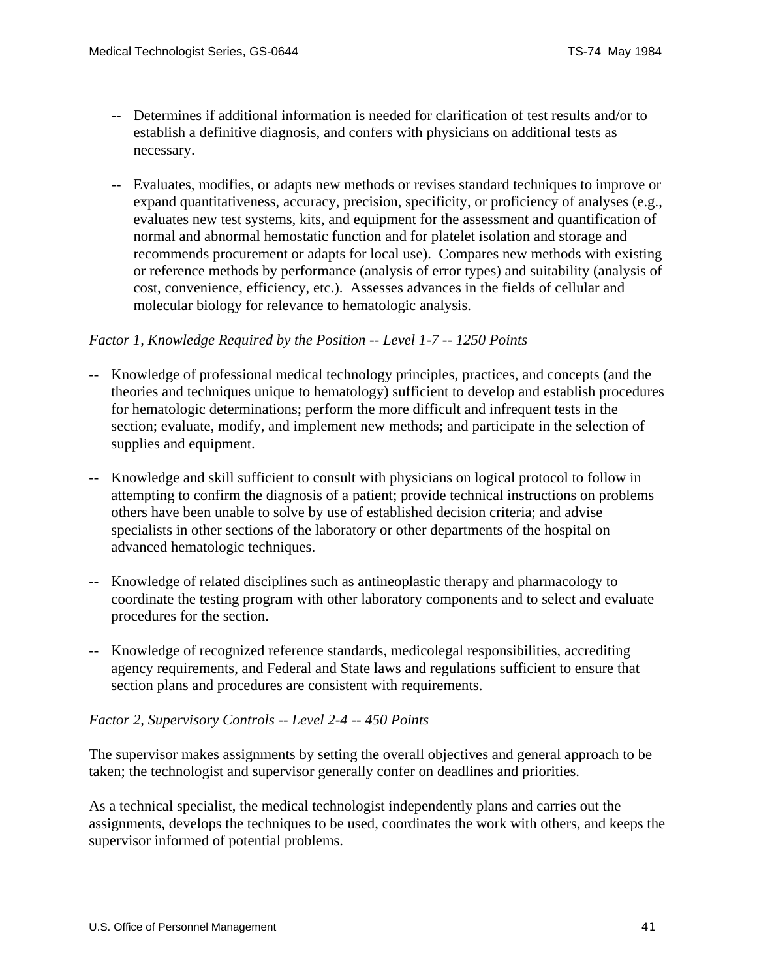- -- Determines if additional information is needed for clarification of test results and/or to establish a definitive diagnosis, and confers with physicians on additional tests as necessary.
- -- Evaluates, modifies, or adapts new methods or revises standard techniques to improve or expand quantitativeness, accuracy, precision, specificity, or proficiency of analyses (e.g., evaluates new test systems, kits, and equipment for the assessment and quantification of normal and abnormal hemostatic function and for platelet isolation and storage and recommends procurement or adapts for local use). Compares new methods with existing or reference methods by performance (analysis of error types) and suitability (analysis of cost, convenience, efficiency, etc.). Assesses advances in the fields of cellular and molecular biology for relevance to hematologic analysis.

### *Factor 1, Knowledge Required by the Position -- Level 1-7 -- 1250 Points*

- -- Knowledge of professional medical technology principles, practices, and concepts (and the theories and techniques unique to hematology) sufficient to develop and establish procedures for hematologic determinations; perform the more difficult and infrequent tests in the section; evaluate, modify, and implement new methods; and participate in the selection of supplies and equipment.
- -- Knowledge and skill sufficient to consult with physicians on logical protocol to follow in attempting to confirm the diagnosis of a patient; provide technical instructions on problems others have been unable to solve by use of established decision criteria; and advise specialists in other sections of the laboratory or other departments of the hospital on advanced hematologic techniques.
- -- Knowledge of related disciplines such as antineoplastic therapy and pharmacology to coordinate the testing program with other laboratory components and to select and evaluate procedures for the section.
- -- Knowledge of recognized reference standards, medicolegal responsibilities, accrediting agency requirements, and Federal and State laws and regulations sufficient to ensure that section plans and procedures are consistent with requirements.

### *Factor 2, Supervisory Controls -- Level 2-4 -- 450 Points*

The supervisor makes assignments by setting the overall objectives and general approach to be taken; the technologist and supervisor generally confer on deadlines and priorities.

As a technical specialist, the medical technologist independently plans and carries out the assignments, develops the techniques to be used, coordinates the work with others, and keeps the supervisor informed of potential problems.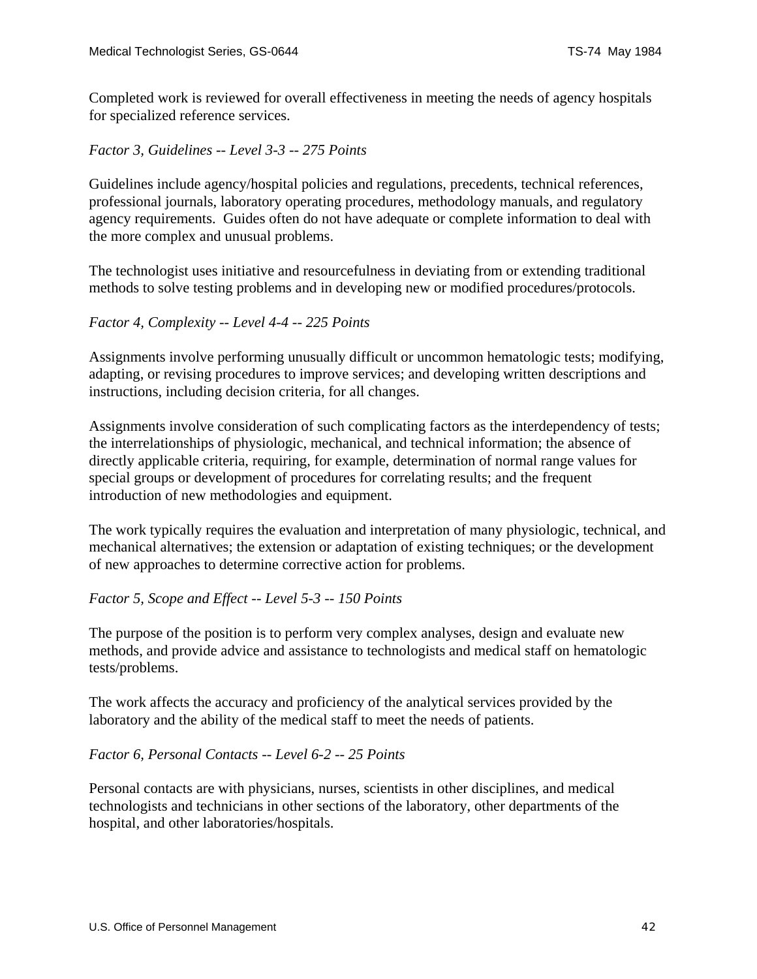Completed work is reviewed for overall effectiveness in meeting the needs of agency hospitals for specialized reference services.

*Factor 3, Guidelines -- Level 3-3 -- 275 Points*

Guidelines include agency/hospital policies and regulations, precedents, technical references, professional journals, laboratory operating procedures, methodology manuals, and regulatory agency requirements. Guides often do not have adequate or complete information to deal with the more complex and unusual problems.

The technologist uses initiative and resourcefulness in deviating from or extending traditional methods to solve testing problems and in developing new or modified procedures/protocols.

*Factor 4, Complexity -- Level 4-4 -- 225 Points*

Assignments involve performing unusually difficult or uncommon hematologic tests; modifying, adapting, or revising procedures to improve services; and developing written descriptions and instructions, including decision criteria, for all changes.

Assignments involve consideration of such complicating factors as the interdependency of tests; the interrelationships of physiologic, mechanical, and technical information; the absence of directly applicable criteria, requiring, for example, determination of normal range values for special groups or development of procedures for correlating results; and the frequent introduction of new methodologies and equipment.

The work typically requires the evaluation and interpretation of many physiologic, technical, and mechanical alternatives; the extension or adaptation of existing techniques; or the development of new approaches to determine corrective action for problems.

*Factor 5, Scope and Effect -- Level 5-3 -- 150 Points*

The purpose of the position is to perform very complex analyses, design and evaluate new methods, and provide advice and assistance to technologists and medical staff on hematologic tests/problems.

The work affects the accuracy and proficiency of the analytical services provided by the laboratory and the ability of the medical staff to meet the needs of patients.

*Factor 6, Personal Contacts -- Level 6-2 -- 25 Points*

Personal contacts are with physicians, nurses, scientists in other disciplines, and medical technologists and technicians in other sections of the laboratory, other departments of the hospital, and other laboratories/hospitals.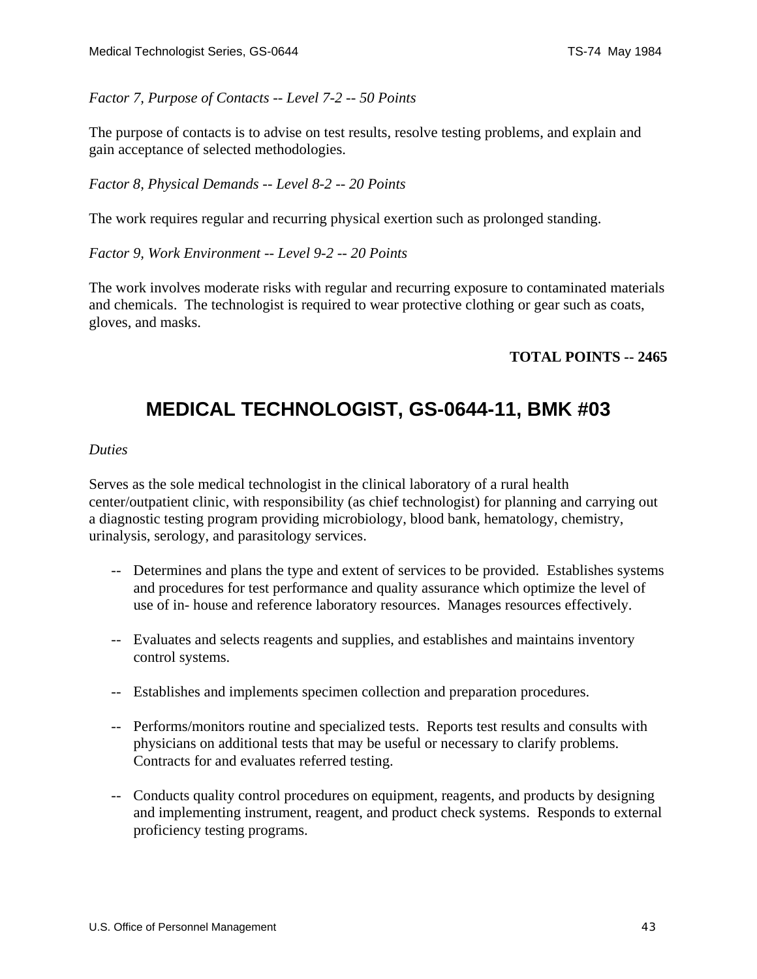<span id="page-42-0"></span>*Factor 7, Purpose of Contacts -- Level 7-2 -- 50 Points*

The purpose of contacts is to advise on test results, resolve testing problems, and explain and gain acceptance of selected methodologies.

*Factor 8, Physical Demands -- Level 8-2 -- 20 Points* 

The work requires regular and recurring physical exertion such as prolonged standing.

*Factor 9, Work Environment -- Level 9-2 -- 20 Points* 

The work involves moderate risks with regular and recurring exposure to contaminated materials and chemicals. The technologist is required to wear protective clothing or gear such as coats, gloves, and masks.

### **TOTAL POINTS -- 2465**

## **MEDICAL TECHNOLOGIST, GS-0644-11, BMK #03**

#### *Duties*

Serves as the sole medical technologist in the clinical laboratory of a rural health center/outpatient clinic, with responsibility (as chief technologist) for planning and carrying out a diagnostic testing program providing microbiology, blood bank, hematology, chemistry, urinalysis, serology, and parasitology services.

- -- Determines and plans the type and extent of services to be provided. Establishes systems and procedures for test performance and quality assurance which optimize the level of use of in- house and reference laboratory resources. Manages resources effectively.
- -- Evaluates and selects reagents and supplies, and establishes and maintains inventory control systems.
- -- Establishes and implements specimen collection and preparation procedures.
- -- Performs/monitors routine and specialized tests. Reports test results and consults with physicians on additional tests that may be useful or necessary to clarify problems. Contracts for and evaluates referred testing.
- -- Conducts quality control procedures on equipment, reagents, and products by designing and implementing instrument, reagent, and product check systems. Responds to external proficiency testing programs.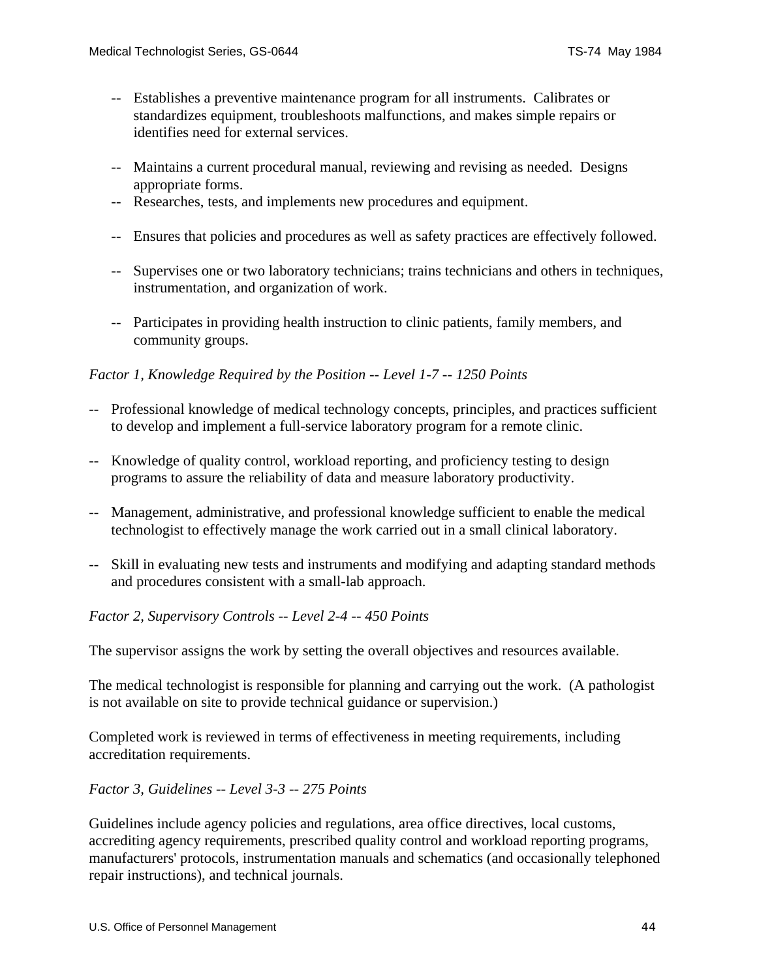- -- Establishes a preventive maintenance program for all instruments. Calibrates or standardizes equipment, troubleshoots malfunctions, and makes simple repairs or identifies need for external services.
- -- Maintains a current procedural manual, reviewing and revising as needed. Designs appropriate forms.
- -- Researches, tests, and implements new procedures and equipment.
- -- Ensures that policies and procedures as well as safety practices are effectively followed.
- -- Supervises one or two laboratory technicians; trains technicians and others in techniques, instrumentation, and organization of work.
- -- Participates in providing health instruction to clinic patients, family members, and community groups.

### *Factor 1, Knowledge Required by the Position -- Level 1-7 -- 1250 Points*

- -- Professional knowledge of medical technology concepts, principles, and practices sufficient to develop and implement a full-service laboratory program for a remote clinic.
- -- Knowledge of quality control, workload reporting, and proficiency testing to design programs to assure the reliability of data and measure laboratory productivity.
- -- Management, administrative, and professional knowledge sufficient to enable the medical technologist to effectively manage the work carried out in a small clinical laboratory.
- -- Skill in evaluating new tests and instruments and modifying and adapting standard methods and procedures consistent with a small-lab approach.

### *Factor 2, Supervisory Controls -- Level 2-4 -- 450 Points*

The supervisor assigns the work by setting the overall objectives and resources available.

The medical technologist is responsible for planning and carrying out the work. (A pathologist is not available on site to provide technical guidance or supervision.)

Completed work is reviewed in terms of effectiveness in meeting requirements, including accreditation requirements.

*Factor 3, Guidelines -- Level 3-3 -- 275 Points*

Guidelines include agency policies and regulations, area office directives, local customs, accrediting agency requirements, prescribed quality control and workload reporting programs, manufacturers' protocols, instrumentation manuals and schematics (and occasionally telephoned repair instructions), and technical journals.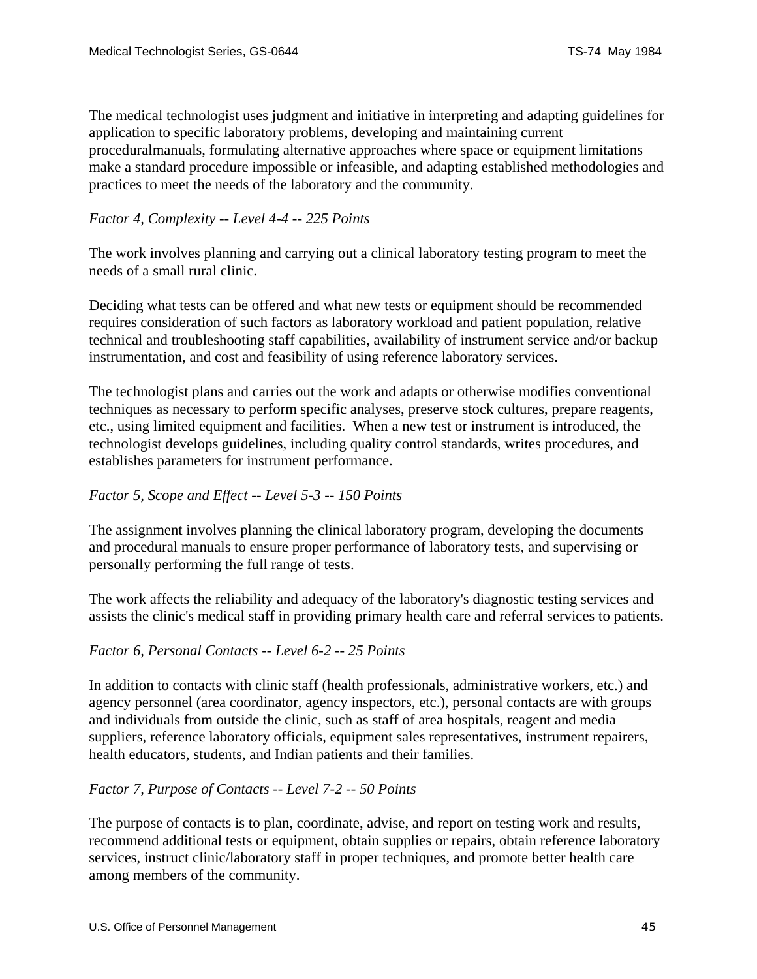The medical technologist uses judgment and initiative in interpreting and adapting guidelines for application to specific laboratory problems, developing and maintaining current proceduralmanuals, formulating alternative approaches where space or equipment limitations make a standard procedure impossible or infeasible, and adapting established methodologies and practices to meet the needs of the laboratory and the community.

### *Factor 4, Complexity -- Level 4-4 -- 225 Points*

The work involves planning and carrying out a clinical laboratory testing program to meet the needs of a small rural clinic.

Deciding what tests can be offered and what new tests or equipment should be recommended requires consideration of such factors as laboratory workload and patient population, relative technical and troubleshooting staff capabilities, availability of instrument service and/or backup instrumentation, and cost and feasibility of using reference laboratory services.

The technologist plans and carries out the work and adapts or otherwise modifies conventional techniques as necessary to perform specific analyses, preserve stock cultures, prepare reagents, etc., using limited equipment and facilities. When a new test or instrument is introduced, the technologist develops guidelines, including quality control standards, writes procedures, and establishes parameters for instrument performance.

### *Factor 5, Scope and Effect -- Level 5-3 -- 150 Points*

The assignment involves planning the clinical laboratory program, developing the documents and procedural manuals to ensure proper performance of laboratory tests, and supervising or personally performing the full range of tests.

The work affects the reliability and adequacy of the laboratory's diagnostic testing services and assists the clinic's medical staff in providing primary health care and referral services to patients.

### *Factor 6, Personal Contacts -- Level 6-2 -- 25 Points*

In addition to contacts with clinic staff (health professionals, administrative workers, etc.) and agency personnel (area coordinator, agency inspectors, etc.), personal contacts are with groups and individuals from outside the clinic, such as staff of area hospitals, reagent and media suppliers, reference laboratory officials, equipment sales representatives, instrument repairers, health educators, students, and Indian patients and their families.

### *Factor 7, Purpose of Contacts -- Level 7-2 -- 50 Points*

The purpose of contacts is to plan, coordinate, advise, and report on testing work and results, recommend additional tests or equipment, obtain supplies or repairs, obtain reference laboratory services, instruct clinic/laboratory staff in proper techniques, and promote better health care among members of the community.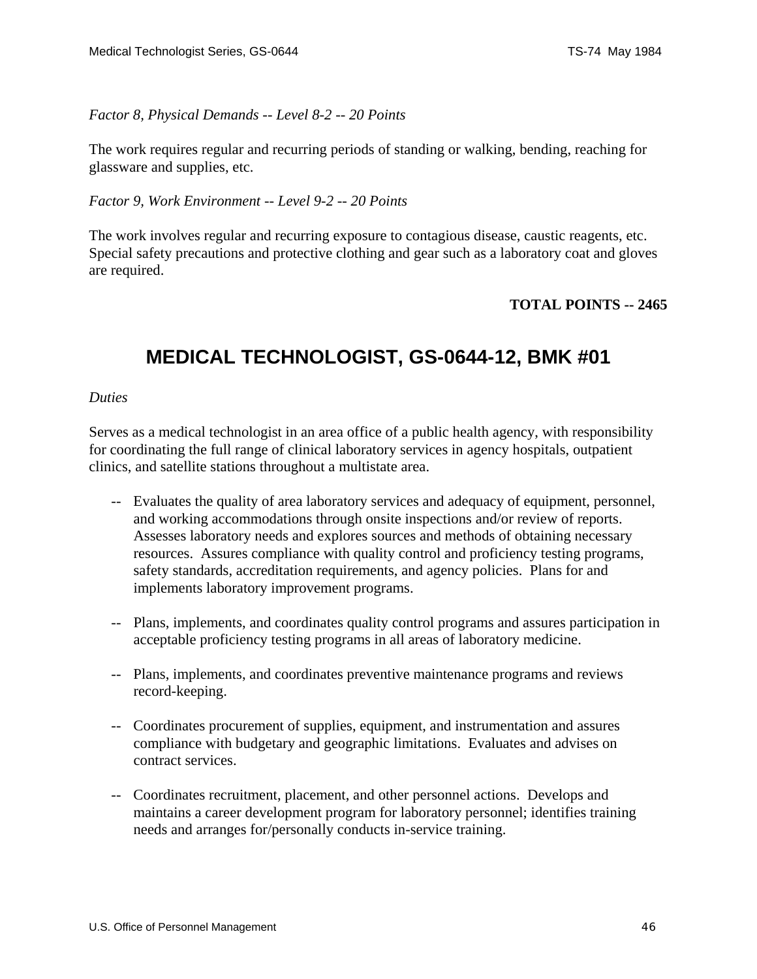<span id="page-45-0"></span>*Factor 8, Physical Demands -- Level 8-2 -- 20 Points*

The work requires regular and recurring periods of standing or walking, bending, reaching for glassware and supplies, etc.

*Factor 9, Work Environment -- Level 9-2 -- 20 Points*

The work involves regular and recurring exposure to contagious disease, caustic reagents, etc. Special safety precautions and protective clothing and gear such as a laboratory coat and gloves are required.

### **TOTAL POINTS -- 2465**

## **MEDICAL TECHNOLOGIST, GS-0644-12, BMK #01**

#### *Duties*

Serves as a medical technologist in an area office of a public health agency, with responsibility for coordinating the full range of clinical laboratory services in agency hospitals, outpatient clinics, and satellite stations throughout a multistate area.

- -- Evaluates the quality of area laboratory services and adequacy of equipment, personnel, and working accommodations through onsite inspections and/or review of reports. Assesses laboratory needs and explores sources and methods of obtaining necessary resources. Assures compliance with quality control and proficiency testing programs, safety standards, accreditation requirements, and agency policies. Plans for and implements laboratory improvement programs.
- -- Plans, implements, and coordinates quality control programs and assures participation in acceptable proficiency testing programs in all areas of laboratory medicine.
- -- Plans, implements, and coordinates preventive maintenance programs and reviews record-keeping.
- -- Coordinates procurement of supplies, equipment, and instrumentation and assures compliance with budgetary and geographic limitations. Evaluates and advises on contract services.
- -- Coordinates recruitment, placement, and other personnel actions. Develops and maintains a career development program for laboratory personnel; identifies training needs and arranges for/personally conducts in-service training.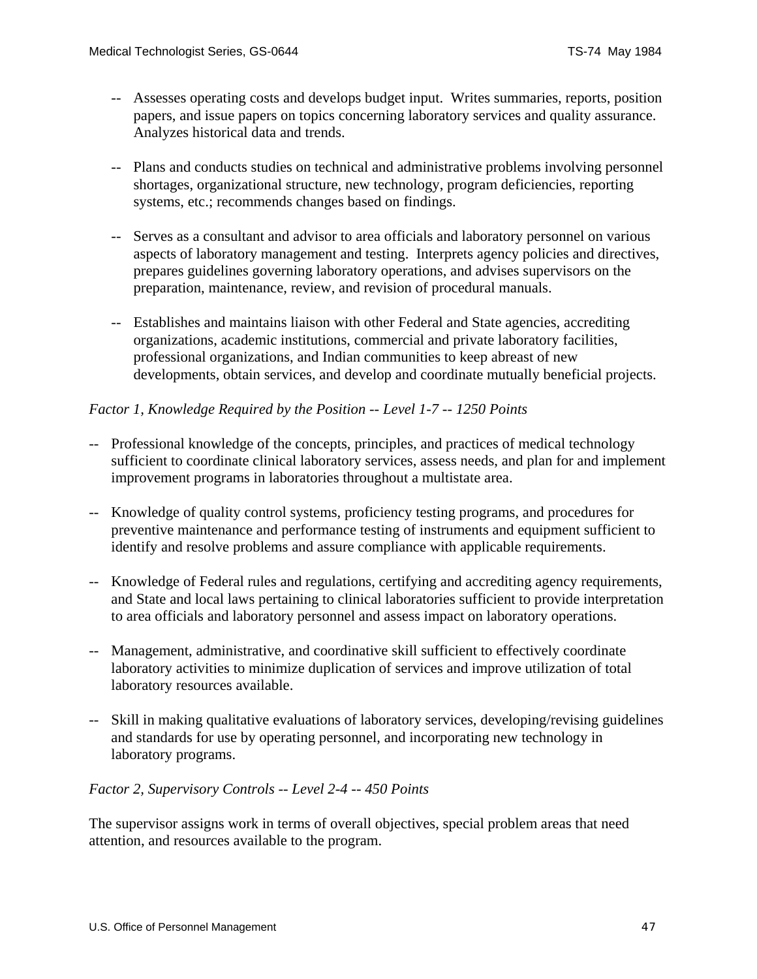- -- Assesses operating costs and develops budget input. Writes summaries, reports, position papers, and issue papers on topics concerning laboratory services and quality assurance. Analyzes historical data and trends.
- -- Plans and conducts studies on technical and administrative problems involving personnel shortages, organizational structure, new technology, program deficiencies, reporting systems, etc.; recommends changes based on findings.
- -- Serves as a consultant and advisor to area officials and laboratory personnel on various aspects of laboratory management and testing. Interprets agency policies and directives, prepares guidelines governing laboratory operations, and advises supervisors on the preparation, maintenance, review, and revision of procedural manuals.
- -- Establishes and maintains liaison with other Federal and State agencies, accrediting organizations, academic institutions, commercial and private laboratory facilities, professional organizations, and Indian communities to keep abreast of new developments, obtain services, and develop and coordinate mutually beneficial projects.

### *Factor 1, Knowledge Required by the Position -- Level 1-7 -- 1250 Points*

- -- Professional knowledge of the concepts, principles, and practices of medical technology sufficient to coordinate clinical laboratory services, assess needs, and plan for and implement improvement programs in laboratories throughout a multistate area.
- -- Knowledge of quality control systems, proficiency testing programs, and procedures for preventive maintenance and performance testing of instruments and equipment sufficient to identify and resolve problems and assure compliance with applicable requirements.
- -- Knowledge of Federal rules and regulations, certifying and accrediting agency requirements, and State and local laws pertaining to clinical laboratories sufficient to provide interpretation to area officials and laboratory personnel and assess impact on laboratory operations.
- -- Management, administrative, and coordinative skill sufficient to effectively coordinate laboratory activities to minimize duplication of services and improve utilization of total laboratory resources available.
- -- Skill in making qualitative evaluations of laboratory services, developing/revising guidelines and standards for use by operating personnel, and incorporating new technology in laboratory programs.

### *Factor 2, Supervisory Controls -- Level 2-4 -- 450 Points*

The supervisor assigns work in terms of overall objectives, special problem areas that need attention, and resources available to the program.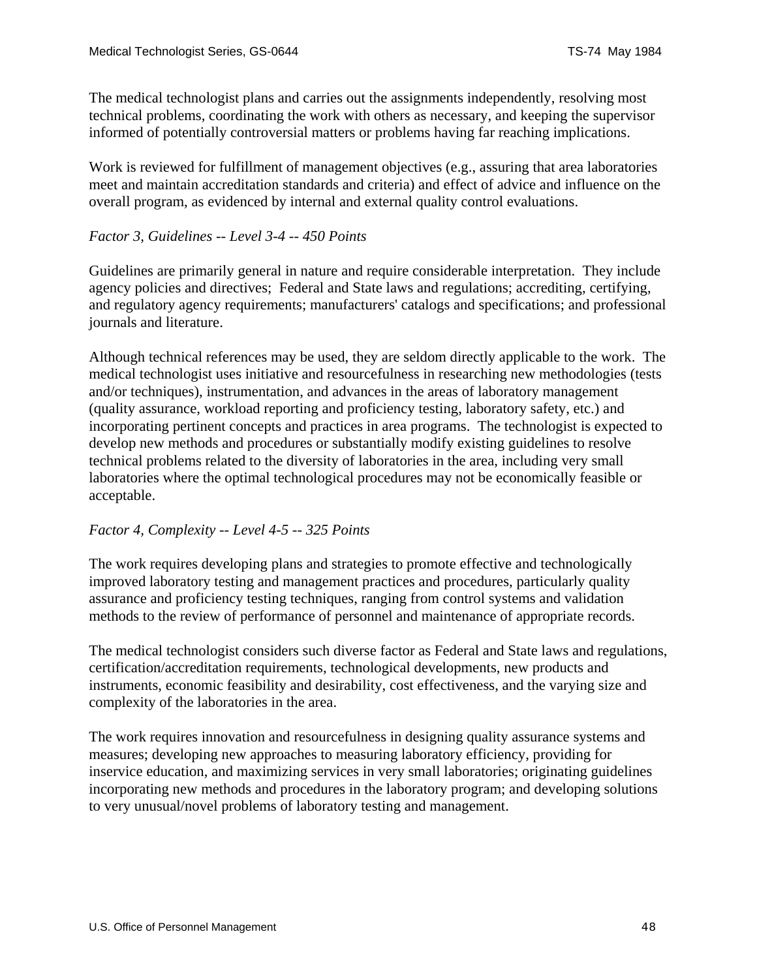The medical technologist plans and carries out the assignments independently, resolving most technical problems, coordinating the work with others as necessary, and keeping the supervisor informed of potentially controversial matters or problems having far reaching implications.

Work is reviewed for fulfillment of management objectives (e.g., assuring that area laboratories meet and maintain accreditation standards and criteria) and effect of advice and influence on the overall program, as evidenced by internal and external quality control evaluations.

#### *Factor 3, Guidelines -- Level 3-4 -- 450 Points*

Guidelines are primarily general in nature and require considerable interpretation. They include agency policies and directives; Federal and State laws and regulations; accrediting, certifying, and regulatory agency requirements; manufacturers' catalogs and specifications; and professional journals and literature.

Although technical references may be used, they are seldom directly applicable to the work. The medical technologist uses initiative and resourcefulness in researching new methodologies (tests and/or techniques), instrumentation, and advances in the areas of laboratory management (quality assurance, workload reporting and proficiency testing, laboratory safety, etc.) and incorporating pertinent concepts and practices in area programs. The technologist is expected to develop new methods and procedures or substantially modify existing guidelines to resolve technical problems related to the diversity of laboratories in the area, including very small laboratories where the optimal technological procedures may not be economically feasible or acceptable.

### *Factor 4, Complexity -- Level 4-5 -- 325 Points*

The work requires developing plans and strategies to promote effective and technologically improved laboratory testing and management practices and procedures, particularly quality assurance and proficiency testing techniques, ranging from control systems and validation methods to the review of performance of personnel and maintenance of appropriate records.

The medical technologist considers such diverse factor as Federal and State laws and regulations, certification/accreditation requirements, technological developments, new products and instruments, economic feasibility and desirability, cost effectiveness, and the varying size and complexity of the laboratories in the area.

The work requires innovation and resourcefulness in designing quality assurance systems and measures; developing new approaches to measuring laboratory efficiency, providing for inservice education, and maximizing services in very small laboratories; originating guidelines incorporating new methods and procedures in the laboratory program; and developing solutions to very unusual/novel problems of laboratory testing and management.